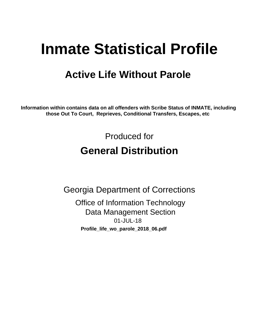# **Inmate Statistical Profile**

## **Active Life Without Parole**

Information within contains data on all offenders with Scribe Status of INMATE, including those Out To Court, Reprieves, Conditional Transfers, Escapes, etc

> Produced for **General Distribution**

**Georgia Department of Corrections Office of Information Technology Data Management Section** 01-JUL-18 Profile\_life\_wo\_parole\_2018\_06.pdf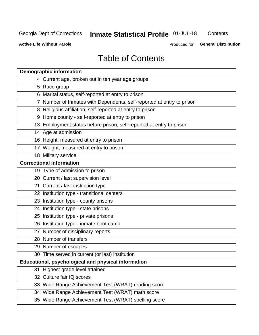## Inmate Statistical Profile 01-JUL-18

Contents

**Active Life Without Parole** 

Produced for General Distribution

## **Table of Contents**

|    | <b>Demographic information</b>                                        |
|----|-----------------------------------------------------------------------|
|    | 4 Current age, broken out in ten year age groups                      |
|    | 5 Race group                                                          |
|    | 6 Marital status, self-reported at entry to prison                    |
|    | 7 Number of Inmates with Dependents, self-reported at entry to prison |
|    | 8 Religious affiliation, self-reported at entry to prison             |
|    | 9 Home county - self-reported at entry to prison                      |
|    | 13 Employment status before prison, self-reported at entry to prison  |
|    | 14 Age at admission                                                   |
|    | 16 Height, measured at entry to prison                                |
|    | 17 Weight, measured at entry to prison                                |
|    | 18 Military service                                                   |
|    | <b>Correctional information</b>                                       |
|    | 19 Type of admission to prison                                        |
|    | 20 Current / last supervision level                                   |
|    | 21 Current / last institution type                                    |
|    | 22 Institution type - transitional centers                            |
|    | 23 Institution type - county prisons                                  |
|    | 24 Institution type - state prisons                                   |
|    | 25 Institution type - private prisons                                 |
|    | 26 Institution type - inmate boot camp                                |
|    | 27 Number of disciplinary reports                                     |
|    | 28 Number of transfers                                                |
|    | 29 Number of escapes                                                  |
|    | 30 Time served in current (or last) institution                       |
|    | Educational, psychological and physical information                   |
| 31 | Highest grade level attained                                          |
|    | 32 Culture fair IQ scores                                             |
|    | 33 Wide Range Achievement Test (WRAT) reading score                   |
|    | 34 Wide Range Achievement Test (WRAT) math score                      |
|    | 35 Wide Range Achievement Test (WRAT) spelling score                  |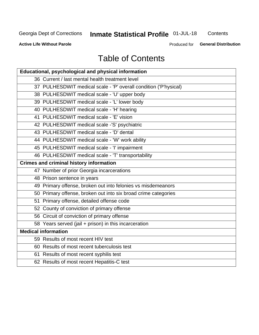## **Inmate Statistical Profile 01-JUL-18**

Contents

**Active Life Without Parole** 

**General Distribution** Produced for

## **Table of Contents**

| <b>Educational, psychological and physical information</b>       |
|------------------------------------------------------------------|
| 36 Current / last mental health treatment level                  |
| 37 PULHESDWIT medical scale - 'P' overall condition ('P'hysical) |
| 38 PULHESDWIT medical scale - 'U' upper body                     |
| 39 PULHESDWIT medical scale - 'L' lower body                     |
| 40 PULHESDWIT medical scale - 'H' hearing                        |
| 41 PULHESDWIT medical scale - 'E' vision                         |
| 42 PULHESDWIT medical scale -'S' psychiatric                     |
| 43 PULHESDWIT medical scale - 'D' dental                         |
| 44 PULHESDWIT medical scale - 'W' work ability                   |
| 45 PULHESDWIT medical scale - 'I' impairment                     |
| 46 PULHESDWIT medical scale - 'T' transportability               |
| <b>Crimes and criminal history information</b>                   |
| 47 Number of prior Georgia incarcerations                        |
| 48 Prison sentence in years                                      |
| 49 Primary offense, broken out into felonies vs misdemeanors     |
| 50 Primary offense, broken out into six broad crime categories   |
| 51 Primary offense, detailed offense code                        |
| 52 County of conviction of primary offense                       |
| 56 Circuit of conviction of primary offense                      |
| 58 Years served (jail + prison) in this incarceration            |
| <b>Medical information</b>                                       |
| 59 Results of most recent HIV test                               |
| 60 Results of most recent tuberculosis test                      |
| 61 Results of most recent syphilis test                          |
| 62 Results of most recent Hepatitis-C test                       |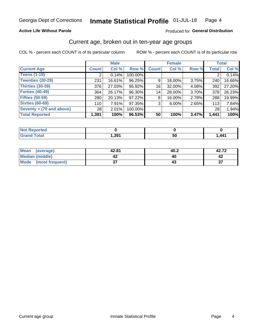### **Active Life Without Parole**

### Produced for General Distribution

## Current age, broken out in ten-year age groups

COL % - percent each COUNT is of its particular column

|                          | <b>Male</b>  |          |         | <b>Female</b> |        |          | <b>Total</b> |        |
|--------------------------|--------------|----------|---------|---------------|--------|----------|--------------|--------|
| <b>Current Age</b>       | <b>Count</b> | Col %    | Row %   | <b>Count</b>  | Col %  | Row %    | <b>Total</b> | Col %  |
| <b>Teens (1-19)</b>      | ◠            | 0.14%    | 100.00% |               |        |          | 2            | 0.14%  |
| <b>Twenties (20-29)</b>  | 231          | 16.61%   | 96.25%  | 9             | 18.00% | $3.75\%$ | 240          | 16.66% |
| Thirties (30-39)         | 376          | 27.03%   | 95.92%  | 16            | 32.00% | 4.08%    | 392          | 27.20% |
| <b>Forties (40-49)</b>   | 364          | 26.17%   | 96.30%  | 14            | 28.00% | 3.70%    | 378          | 26.23% |
| <b>Fifties (50-59)</b>   | 280          | 20.13%   | 97.22%  | 8             | 16.00% | 2.78%    | 288          | 19.99% |
| <b>Sixties (60-69)</b>   | 110          | $7.91\%$ | 97.35%  | 3             | 6.00%  | 2.65%    | 113          | 7.84%  |
| Seventy + (70 and above) | 28           | 2.01%    | 100.00% |               |        |          | 28           | 1.94%  |
| <b>Total Reported</b>    | 1,391        | 100%     | 96.53%  | 50            | 100%   | 3.47%    | 1,441        | 100%   |

| <b>Continued and</b><br>N<br>теп |      |          |      |
|----------------------------------|------|----------|------|
| $f \wedge f \wedge f$<br>_____   | ,391 | --<br>vu | ,441 |

| Mean<br>(average)    | 42.81  | 40.2 | 42.72        |
|----------------------|--------|------|--------------|
| Median (middle)      |        |      |              |
| Mode (most frequent) | ^<br>◡ |      | $\sim$<br>J. |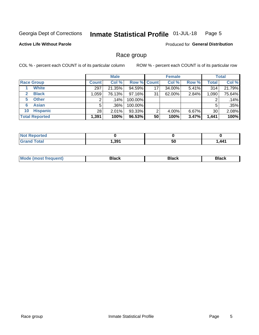#### Inmate Statistical Profile 01-JUL-18 Page 5

### **Active Life Without Parole**

**Produced for General Distribution** 

## Race group

COL % - percent each COUNT is of its particular column

|                              | <b>Male</b>  |         |                    | <b>Female</b> |        |          | <b>Total</b> |        |
|------------------------------|--------------|---------|--------------------|---------------|--------|----------|--------------|--------|
| <b>Race Group</b>            | <b>Count</b> | Col %   | <b>Row % Count</b> |               | Col %  | Row %    | Total        | Col %  |
| <b>White</b>                 | 297          | 21.35%  | 94.59%             | 17            | 34.00% | 5.41%    | 314          | 21.79% |
| <b>Black</b><br>$\mathbf{2}$ | 1,059        | 76.13%  | 97.16%             | 31            | 62.00% | 2.84%    | 1,090        | 75.64% |
| <b>Other</b><br>5.           |              | $.14\%$ | 100.00%            |               |        |          | 2            | .14%   |
| <b>Asian</b><br>6            | 5            | $.36\%$ | 100.00%            |               |        |          | 5            | .35%   |
| <b>Hispanic</b><br>10        | 28           | 2.01%   | 93.33%             | ົ             | 4.00%  | $6.67\%$ | 30           | 2.08%  |
| <b>Total Reported</b>        | 1,391        | 100%    | 96.53%             | 50            | 100%   | 3.47%    | 1,441        | 100%   |

| لمنتشر بالتعبير<br>тео |      |           |                              |
|------------------------|------|-----------|------------------------------|
| <b>Total</b>           | .391 | - -       | $\overline{A}\overline{A}$ 1 |
| ______                 |      | <b>50</b> | .                            |

| маст |  | M |  |  |  |
|------|--|---|--|--|--|
|------|--|---|--|--|--|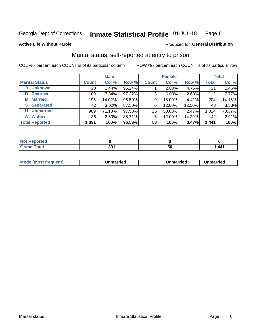#### Inmate Statistical Profile 01-JUL-18 Page 6

**Active Life Without Parole** 

### Produced for General Distribution

## Marital status, self-reported at entry to prison

COL % - percent each COUNT is of its particular column

| <b>Male</b>            |              |        | <b>Female</b> |              |        | <b>Total</b> |              |        |
|------------------------|--------------|--------|---------------|--------------|--------|--------------|--------------|--------|
| <b>Marital Status</b>  | <b>Count</b> | Col %  | Row %         | <b>Count</b> | Col %  | Row %        | <b>Total</b> | Col %  |
| <b>Unknown</b><br>0    | 20           | 1.44%  | 95.24%        |              | 2.00%  | 4.76%        | 21           | 1.46%  |
| <b>Divorced</b><br>D   | 109          | 7.84%  | 97.32%        | 3            | 6.00%  | 2.68%        | 112          | 7.77%  |
| <b>Married</b><br>М    | 195          | 14.02% | 95.59%        | 9            | 18.00% | 4.41%        | 204          | 14.16% |
| <b>Separated</b><br>S. | 42           | 3.02%  | 87.50%        | 6            | 12.00% | 12.50%       | 48           | 3.33%  |
| <b>Unmarried</b><br>U  | 989          | 71.10% | 97.53%        | 25           | 50.00% | 2.47%        | 1,014        | 70.37% |
| <b>Widow</b><br>W      | 36           | 2.59%  | 85.71%        | 6            | 12.00% | 14.29%       | 42           | 2.91%  |
| <b>Total Reported</b>  | 1,391        | 100%   | 96.53%        | 50           | 100%   | 3.47%        | 1,441        | 100%   |

| <b>Not Reported</b><br>$\sim$ . The set of $\sim$ |       |    |                       |
|---------------------------------------------------|-------|----|-----------------------|
| <b>Total</b>                                      | 9′, ا | ວບ | 1 <i>AA</i> 1<br>-- 1 |

| Mo | . | Unmarried | າmarried |
|----|---|-----------|----------|
|    |   |           |          |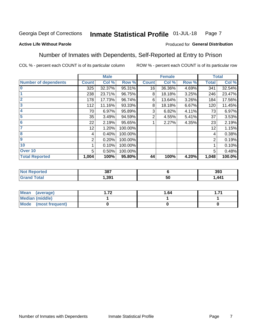#### Inmate Statistical Profile 01-JUL-18 Page 7

### **Active Life Without Parole**

### Produced for General Distribution

## Number of Inmates with Dependents, Self-Reported at Entry to Prison

COL % - percent each COUNT is of its particular column

|                             |                 | <b>Male</b> |         |              | <b>Female</b> |       |              | <b>Total</b> |
|-----------------------------|-----------------|-------------|---------|--------------|---------------|-------|--------------|--------------|
| <b>Number of dependents</b> | <b>Count</b>    | Col %       | Row %   | <b>Count</b> | Col %         | Row % | <b>Total</b> | Col %        |
| $\bf{0}$                    | 325             | 32.37%      | 95.31%  | 16           | 36.36%        | 4.69% | 341          | 32.54%       |
|                             | 238             | 23.71%      | 96.75%  | 8            | 18.18%        | 3.25% | 246          | 23.47%       |
| $\overline{2}$              | 178             | 17.73%      | 96.74%  | 6            | 13.64%        | 3.26% | 184          | 17.56%       |
| 3                           | 112             | 11.16%      | 93.33%  | 8            | 18.18%        | 6.67% | 120          | 11.45%       |
| 4                           | 70              | 6.97%       | 95.89%  | 3            | 6.82%         | 4.11% | 73           | 6.97%        |
| 5                           | 35              | 3.49%       | 94.59%  | 2            | 4.55%         | 5.41% | 37           | 3.53%        |
| $6\phantom{1}6$             | 22              | 2.19%       | 95.65%  |              | 2.27%         | 4.35% | 23           | 2.19%        |
| 7                           | 12 <sub>2</sub> | 1.20%       | 100.00% |              |               |       | 12           | 1.15%        |
| $\overline{\mathbf{8}}$     | 4               | 0.40%       | 100.00% |              |               |       | 4            | 0.38%        |
| $\boldsymbol{9}$            | 2               | 0.20%       | 100.00% |              |               |       | 2            | 0.19%        |
| 10                          |                 | 0.10%       | 100.00% |              |               |       |              | 0.10%        |
| Over 10                     | 5               | 0.50%       | 100.00% |              |               |       | 5            | 0.48%        |
| <b>Total Reported</b>       | 1,004           | 100%        | 95.80%  | 44           | 100%          | 4.20% | 1,048        | 100.0%       |

| 207<br>၁၀ |          | 393              |
|-----------|----------|------------------|
| 391.،     | - -<br>અ | $\Delta\Delta$ 1 |

| Mean (average)         | 70 | 1.64 |  |
|------------------------|----|------|--|
| <b>Median (middle)</b> |    |      |  |
| Mode (most frequent)   |    |      |  |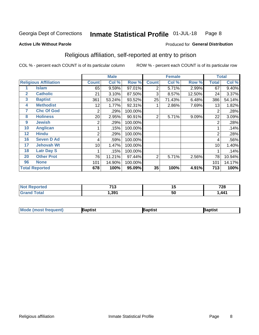#### Inmate Statistical Profile 01-JUL-18 Page 8

#### **Active Life Without Parole**

### Produced for General Distribution

## Religious affiliation, self-reported at entry to prison

COL % - percent each COUNT is of its particular column

|              |                              |              | <b>Male</b> |         |                | <b>Female</b> |        |       | <b>Total</b> |
|--------------|------------------------------|--------------|-------------|---------|----------------|---------------|--------|-------|--------------|
|              | <b>Religious Affiliation</b> | <b>Count</b> | Col %       | Row %   | <b>Count</b>   | Col %         | Row %  | Total | Col %        |
|              | <b>Islam</b>                 | 65           | 9.59%       | 97.01%  | 2              | 5.71%         | 2.99%  | 67    | 9.40%        |
| $\mathbf{2}$ | <b>Catholic</b>              | 21           | 3.10%       | 87.50%  | 3              | 8.57%         | 12.50% | 24    | 3.37%        |
| 3            | <b>Baptist</b>               | 361          | 53.24%      | 93.52%  | 25             | 71.43%        | 6.48%  | 386   | 54.14%       |
| 4            | <b>Methodist</b>             | 12           | 1.77%       | 92.31%  |                | 2.86%         | 7.69%  | 13    | 1.82%        |
| 7            | <b>Chc Of God</b>            | 2            | .29%        | 100.00% |                |               |        | 2     | .28%         |
| 8            | <b>Holiness</b>              | 20           | 2.95%       | 90.91%  | $\overline{2}$ | 5.71%         | 9.09%  | 22    | 3.09%        |
| 9            | <b>Jewish</b>                | 2            | .29%        | 100.00% |                |               |        | 2     | .28%         |
| 10           | <b>Anglican</b>              |              | .15%        | 100.00% |                |               |        |       | .14%         |
| 12           | <b>Hindu</b>                 | 2            | .29%        | 100.00% |                |               |        | 2     | .28%         |
| 16           | <b>Seven D Ad</b>            | 4            | .59%        | 100.00% |                |               |        | 4     | .56%         |
| 17           | <b>Jehovah Wt</b>            | 10           | 1.47%       | 100.00% |                |               |        | 10    | 1.40%        |
| 18           | <b>Latr Day S</b>            |              | .15%        | 100.00% |                |               |        |       | .14%         |
| 20           | <b>Other Prot</b>            | 76           | 11.21%      | 97.44%  | 2              | 5.71%         | 2.56%  | 78    | 10.94%       |
| 96           | <b>None</b>                  | 101          | 14.90%      | 100.00% |                |               |        | 101   | 14.17%       |
|              | <b>Total Reported</b>        | 678          | 100%        | 95.09%  | 35             | 100%          | 4.91%  | 713   | 100%         |

| rteo | -40   | . . | 700         |
|------|-------|-----|-------------|
| .    | יי    | . . | . ZO        |
|      | - 301 | 50  | $\Delta$ 41 |

| <b>Mode (most frequent)</b> | 3aptist | 3aptist | Baptist |
|-----------------------------|---------|---------|---------|
|-----------------------------|---------|---------|---------|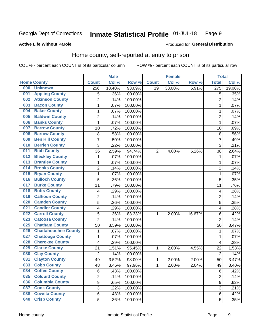#### Inmate Statistical Profile 01-JUL-18 Page 9

#### **Active Life Without Parole**

### Produced for General Distribution

## Home county, self-reported at entry to prison

COL % - percent each COUNT is of its particular column

|     |                             |                         | <b>Male</b> |         |              | <b>Female</b> |        | <b>Total</b>   |         |
|-----|-----------------------------|-------------------------|-------------|---------|--------------|---------------|--------|----------------|---------|
|     | <b>Home County</b>          | <b>Count</b>            | Col %       | Row %   | <b>Count</b> | Col %         | Row %  | <b>Total</b>   | Col %   |
| 000 | <b>Unknown</b>              | 256                     | 18.40%      | 93.09%  | 19           | 38.00%        | 6.91%  | 275            | 19.08%  |
| 001 | <b>Appling County</b>       | 5                       | .36%        | 100.00% |              |               |        | 5              | .35%    |
| 002 | <b>Atkinson County</b>      | $\overline{c}$          | .14%        | 100.00% |              |               |        | $\overline{2}$ | .14%    |
| 003 | <b>Bacon County</b>         | $\mathbf{1}$            | .07%        | 100.00% |              |               |        | 1              | .07%    |
| 004 | <b>Baker County</b>         | $\mathbf{1}$            | .07%        | 100.00% |              |               |        | 1              | .07%    |
| 005 | <b>Baldwin County</b>       | $\overline{2}$          | .14%        | 100.00% |              |               |        | $\overline{2}$ | .14%    |
| 006 | <b>Banks County</b>         | $\mathbf{1}$            | .07%        | 100.00% |              |               |        | 1              | .07%    |
| 007 | <b>Barrow County</b>        | 10                      | .72%        | 100.00% |              |               |        | 10             | .69%    |
| 008 | <b>Bartow County</b>        | $\,8\,$                 | .58%        | 100.00% |              |               |        | 8              | .56%    |
| 009 | <b>Ben Hill County</b>      | $\overline{7}$          | .50%        | 100.00% |              |               |        | 7              | .49%    |
| 010 | <b>Berrien County</b>       | 3                       | .22%        | 100.00% |              |               |        | 3              | .21%    |
| 011 | <b>Bibb County</b>          | 36                      | 2.59%       | 94.74%  | 2            | 4.00%         | 5.26%  | 38             | 2.64%   |
| 012 | <b>Bleckley County</b>      | 1                       | .07%        | 100.00% |              |               |        | 1              | .07%    |
| 013 | <b>Brantley County</b>      | $\mathbf{1}$            | .07%        | 100.00% |              |               |        | 1              | $.07\%$ |
| 014 | <b>Brooks County</b>        | $\overline{c}$          | .14%        | 100.00% |              |               |        | $\overline{c}$ | .14%    |
| 015 | <b>Bryan County</b>         | $\mathbf{1}$            | .07%        | 100.00% |              |               |        | 1              | .07%    |
| 016 | <b>Bulloch County</b>       | 5                       | .36%        | 100.00% |              |               |        | 5              | .35%    |
| 017 | <b>Burke County</b>         | 11                      | .79%        | 100.00% |              |               |        | 11             | .76%    |
| 018 | <b>Butts County</b>         | $\overline{\mathbf{4}}$ | .29%        | 100.00% |              |               |        | 4              | .28%    |
| 019 | <b>Calhoun County</b>       | $\boldsymbol{2}$        | .14%        | 100.00% |              |               |        | $\overline{2}$ | .14%    |
| 020 | <b>Camden County</b>        | 5                       | .36%        | 100.00% |              |               |        | 5              | .35%    |
| 021 | <b>Candler County</b>       | $\overline{\mathbf{4}}$ | .29%        | 100.00% |              |               |        | 4              | .28%    |
| 022 | <b>Carroll County</b>       | 5                       | .36%        | 83.33%  | 1            | 2.00%         | 16.67% | 6              | .42%    |
| 023 | <b>Catoosa County</b>       | $\overline{2}$          | .14%        | 100.00% |              |               |        | $\overline{2}$ | .14%    |
| 025 | <b>Chatham County</b>       | 50                      | 3.59%       | 100.00% |              |               |        | 50             | 3.47%   |
| 026 | <b>Chattahoochee County</b> | 1                       | .07%        | 100.00% |              |               |        | 1              | .07%    |
| 027 | <b>Chattooga County</b>     | $\mathbf{1}$            | .07%        | 100.00% |              |               |        | 1              | .07%    |
| 028 | <b>Cherokee County</b>      | 4                       | .29%        | 100.00% |              |               |        | 4              | .28%    |
| 029 | <b>Clarke County</b>        | 21                      | 1.51%       | 95.45%  | 1            | 2.00%         | 4.55%  | 22             | 1.53%   |
| 030 | <b>Clay County</b>          | $\overline{2}$          | .14%        | 100.00% |              |               |        | $\overline{2}$ | .14%    |
| 031 | <b>Clayton County</b>       | 49                      | 3.52%       | 98.00%  | 1            | 2.00%         | 2.00%  | 50             | 3.47%   |
| 033 | <b>Cobb County</b>          | 48                      | 3.45%       | 97.96%  | 1            | 2.00%         | 2.04%  | 49             | 3.40%   |
| 034 | <b>Coffee County</b>        | 6                       | .43%        | 100.00% |              |               |        | 6              | .42%    |
| 035 | <b>Colquitt County</b>      | $\overline{2}$          | .14%        | 100.00% |              |               |        | 2              | .14%    |
| 036 | <b>Columbia County</b>      | $\boldsymbol{9}$        | .65%        | 100.00% |              |               |        | 9              | .62%    |
| 037 | <b>Cook County</b>          | $\mathfrak{S}$          | .22%        | 100.00% |              |               |        | 3              | .21%    |
| 038 | <b>Coweta County</b>        | 6                       | .43%        | 100.00% |              |               |        | 6              | .42%    |
| 040 | <b>Crisp County</b>         | 5                       | .36%        | 100.00% |              |               |        | 5              | .35%    |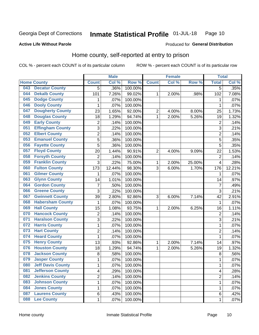#### Inmate Statistical Profile 01-JUL-18 Page 10

### **Active Life Without Parole**

## Produced for General Distribution

## Home county, self-reported at entry to prison

COL % - percent each COUNT is of its particular column

|     |                          |                | <b>Male</b> |                  |                | <b>Female</b> |        | <b>Total</b>   |        |
|-----|--------------------------|----------------|-------------|------------------|----------------|---------------|--------|----------------|--------|
|     | <b>Home County</b>       | <b>Count</b>   | Col %       | Row <sup>%</sup> | <b>Count</b>   | Col %         | Row %  | <b>Total</b>   | Col %  |
| 043 | <b>Decatur County</b>    | $\overline{5}$ | .36%        | 100.00%          |                |               |        | $\overline{5}$ | .35%   |
| 044 | <b>Dekalb County</b>     | 101            | 7.26%       | 99.02%           | 1              | 2.00%         | .98%   | 102            | 7.08%  |
| 045 | <b>Dodge County</b>      | 1              | .07%        | 100.00%          |                |               |        | 1              | .07%   |
| 046 | <b>Dooly County</b>      | 1              | .07%        | 100.00%          |                |               |        | 1              | .07%   |
| 047 | <b>Dougherty County</b>  | 23             | 1.65%       | 92.00%           | $\overline{2}$ | 4.00%         | 8.00%  | 25             | 1.73%  |
| 048 | <b>Douglas County</b>    | 18             | 1.29%       | 94.74%           | 1              | 2.00%         | 5.26%  | 19             | 1.32%  |
| 049 | <b>Early County</b>      | $\overline{2}$ | .14%        | 100.00%          |                |               |        | $\overline{2}$ | .14%   |
| 051 | <b>Effingham County</b>  | 3              | .22%        | 100.00%          |                |               |        | 3              | .21%   |
| 052 | <b>Elbert County</b>     | $\overline{2}$ | .14%        | 100.00%          |                |               |        | $\overline{2}$ | .14%   |
| 053 | <b>Emanuel County</b>    | 5              | .36%        | 100.00%          |                |               |        | 5              | .35%   |
| 056 | <b>Fayette County</b>    | 5              | .36%        | 100.00%          |                |               |        | 5              | .35%   |
| 057 | <b>Floyd County</b>      | 20             | 1.44%       | 90.91%           | $\overline{2}$ | 4.00%         | 9.09%  | 22             | 1.53%  |
| 058 | <b>Forsyth County</b>    | $\overline{2}$ | .14%        | 100.00%          |                |               |        | $\overline{2}$ | .14%   |
| 059 | <b>Franklin County</b>   | 3              | .22%        | 75.00%           | 1              | 2.00%         | 25.00% | 4              | .28%   |
| 060 | <b>Fulton County</b>     | 173            | 12.44%      | 98.30%           | 3              | 6.00%         | 1.70%  | 176            | 12.21% |
| 061 | <b>Gilmer County</b>     | 1              | .07%        | 100.00%          |                |               |        | 1              | .07%   |
| 063 | <b>Glynn County</b>      | 14             | 1.01%       | 100.00%          |                |               |        | 14             | .97%   |
| 064 | <b>Gordon County</b>     | $\overline{7}$ | .50%        | 100.00%          |                |               |        | $\overline{7}$ | .49%   |
| 066 | <b>Greene County</b>     | 3              | .22%        | 100.00%          |                |               |        | 3              | .21%   |
| 067 | <b>Gwinnett County</b>   | 39             | 2.80%       | 92.86%           | 3              | 6.00%         | 7.14%  | 42             | 2.91%  |
| 068 | <b>Habersham County</b>  | 1              | .07%        | 100.00%          |                |               |        | $\mathbf{1}$   | .07%   |
| 069 | <b>Hall County</b>       | 15             | 1.08%       | 93.75%           | 1              | 2.00%         | 6.25%  | 16             | 1.11%  |
| 070 | <b>Hancock County</b>    | $\mathbf 2$    | .14%        | 100.00%          |                |               |        | $\overline{2}$ | .14%   |
| 071 | <b>Haralson County</b>   | 3              | .22%        | 100.00%          |                |               |        | 3              | .21%   |
| 072 | <b>Harris County</b>     | $\mathbf 1$    | .07%        | 100.00%          |                |               |        | 1              | .07%   |
| 073 | <b>Hart County</b>       | $\overline{c}$ | .14%        | 100.00%          |                |               |        | $\overline{2}$ | .14%   |
| 074 | <b>Heard County</b>      | $\mathbf{1}$   | .07%        | 100.00%          |                |               |        | 1              | .07%   |
| 075 | <b>Henry County</b>      | 13             | .93%        | 92.86%           | 1              | 2.00%         | 7.14%  | 14             | .97%   |
| 076 | <b>Houston County</b>    | 18             | 1.29%       | 94.74%           | 1              | 2.00%         | 5.26%  | 19             | 1.32%  |
| 078 | <b>Jackson County</b>    | 8              | .58%        | 100.00%          |                |               |        | 8              | .56%   |
| 079 | <b>Jasper County</b>     | $\mathbf{1}$   | .07%        | 100.00%          |                |               |        | 1              | .07%   |
| 080 | <b>Jeff Davis County</b> | 1              | .07%        | 100.00%          |                |               |        | 1              | .07%   |
| 081 | <b>Jefferson County</b>  | 4              | .29%        | 100.00%          |                |               |        | 4              | .28%   |
| 082 | <b>Jenkins County</b>    | $\overline{2}$ | .14%        | 100.00%          |                |               |        | $\overline{2}$ | .14%   |
| 083 | <b>Johnson County</b>    | $\mathbf{1}$   | .07%        | 100.00%          |                |               |        | 1              | .07%   |
| 084 | <b>Jones County</b>      | 1              | .07%        | 100.00%          |                |               |        | 1              | .07%   |
| 087 | <b>Laurens County</b>    | 6              | .43%        | 100.00%          |                |               |        | 6              | .42%   |
| 088 | <b>Lee County</b>        | $\mathbf{1}$   | .07%        | 100.00%          |                |               |        | 1              | .07%   |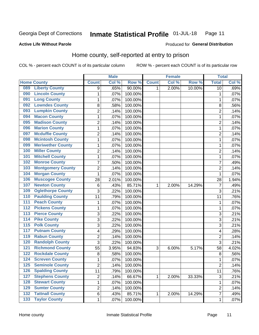#### Inmate Statistical Profile 01-JUL-18 Page 11

**Active Life Without Parole** 

### Produced for General Distribution

## Home county, self-reported at entry to prison

COL % - percent each COUNT is of its particular column

|                  |                          |                | <b>Male</b> |         |              | <b>Female</b> |        | <b>Total</b>    |       |
|------------------|--------------------------|----------------|-------------|---------|--------------|---------------|--------|-----------------|-------|
|                  | <b>Home County</b>       | <b>Count</b>   | Col %       | Row %   | <b>Count</b> | Col %         | Row %  | <b>Total</b>    | Col % |
| 089              | <b>Liberty County</b>    | 9              | .65%        | 90.00%  | 1.           | 2.00%         | 10.00% | $\overline{10}$ | .69%  |
| 090              | <b>Lincoln County</b>    | 1              | .07%        | 100.00% |              |               |        | 1               | .07%  |
| 091              | <b>Long County</b>       | $\mathbf 1$    | .07%        | 100.00% |              |               |        | 1               | .07%  |
| 092              | <b>Lowndes County</b>    | 8              | .58%        | 100.00% |              |               |        | 8               | .56%  |
| 093              | <b>Lumpkin County</b>    | $\overline{2}$ | .14%        | 100.00% |              |               |        | $\overline{2}$  | .14%  |
| 094              | <b>Macon County</b>      | $\mathbf 1$    | .07%        | 100.00% |              |               |        | 1               | .07%  |
| 095              | <b>Madison County</b>    | $\overline{2}$ | .14%        | 100.00% |              |               |        | $\overline{2}$  | .14%  |
| 096              | <b>Marion County</b>     | 1              | .07%        | 100.00% |              |               |        | 1               | .07%  |
| 097              | <b>Mcduffie County</b>   | $\overline{2}$ | .14%        | 100.00% |              |               |        | $\overline{2}$  | .14%  |
| 098              | <b>Mcintosh County</b>   | $\mathbf 1$    | .07%        | 100.00% |              |               |        | 1               | .07%  |
| 099              | <b>Meriwether County</b> | $\mathbf 1$    | .07%        | 100.00% |              |               |        | 1               | .07%  |
| 100              | <b>Miller County</b>     | $\overline{c}$ | .14%        | 100.00% |              |               |        | $\overline{2}$  | .14%  |
| 101              | <b>Mitchell County</b>   | $\mathbf{1}$   | .07%        | 100.00% |              |               |        | 1               | .07%  |
| 102              | <b>Monroe County</b>     | $\overline{7}$ | .50%        | 100.00% |              |               |        | $\overline{7}$  | .49%  |
| 103              | <b>Montgomery County</b> | $\overline{2}$ | .14%        | 100.00% |              |               |        | $\overline{2}$  | .14%  |
| 104              | <b>Morgan County</b>     | 1              | .07%        | 100.00% |              |               |        | 1               | .07%  |
| 106              | <b>Muscogee County</b>   | 28             | 2.01%       | 100.00% |              |               |        | 28              | 1.94% |
| 107              | <b>Newton County</b>     | 6              | .43%        | 85.71%  | 1            | 2.00%         | 14.29% | $\overline{7}$  | .49%  |
| 109              | <b>Oglethorpe County</b> | 3              | .22%        | 100.00% |              |               |        | $\overline{3}$  | .21%  |
| 110              | <b>Paulding County</b>   | 11             | .79%        | 100.00% |              |               |        | 11              | .76%  |
| 111              | <b>Peach County</b>      | $\mathbf 1$    | .07%        | 100.00% |              |               |        | 1               | .07%  |
| $\overline{112}$ | <b>Pickens County</b>    | $\mathbf 1$    | .07%        | 100.00% |              |               |        | 1               | .07%  |
| 113              | <b>Pierce County</b>     | 3              | .22%        | 100.00% |              |               |        | 3               | .21%  |
| 114              | <b>Pike County</b>       | 3              | .22%        | 100.00% |              |               |        | $\overline{3}$  | .21%  |
| $\overline{115}$ | <b>Polk County</b>       | 3              | .22%        | 100.00% |              |               |        | 3               | .21%  |
| 117              | <b>Putnam County</b>     | 4              | .29%        | 100.00% |              |               |        | 4               | .28%  |
| 119              | <b>Rabun County</b>      | $\overline{c}$ | .14%        | 100.00% |              |               |        | $\overline{2}$  | .14%  |
| 120              | <b>Randolph County</b>   | 3              | .22%        | 100.00% |              |               |        | $\overline{3}$  | .21%  |
| 121              | <b>Richmond County</b>   | 55             | 3.95%       | 94.83%  | 3            | 6.00%         | 5.17%  | 58              | 4.02% |
| 122              | <b>Rockdale County</b>   | 8              | .58%        | 100.00% |              |               |        | 8               | .56%  |
| 124              | <b>Screven County</b>    | $\mathbf{1}$   | .07%        | 100.00% |              |               |        | 1               | .07%  |
| 125              | <b>Seminole County</b>   | 2              | .14%        | 100.00% |              |               |        | $\overline{2}$  | .14%  |
| 126              | <b>Spalding County</b>   | 11             | .79%        | 100.00% |              |               |        | 11              | .76%  |
| 127              | <b>Stephens County</b>   | $\overline{2}$ | .14%        | 66.67%  | 1            | 2.00%         | 33.33% | $\sqrt{3}$      | .21%  |
| 128              | <b>Stewart County</b>    | $\mathbf{1}$   | .07%        | 100.00% |              |               |        | 1               | .07%  |
| 129              | <b>Sumter County</b>     | $\overline{2}$ | .14%        | 100.00% |              |               |        | $\overline{2}$  | .14%  |
| 132              | <b>Tattnall County</b>   | 6              | .43%        | 85.71%  | 1            | 2.00%         | 14.29% | 7               | .49%  |
| 133              | <b>Taylor County</b>     | $\mathbf 1$    | .07%        | 100.00% |              |               |        | 1               | .07%  |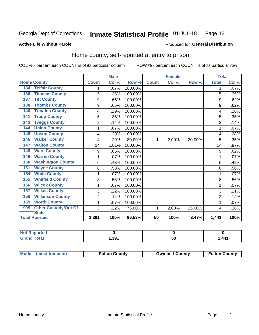#### Inmate Statistical Profile 01-JUL-18 Page 12

Produced for General Distribution

### **Active Life Without Parole**

## Home county, self-reported at entry to prison

COL % - percent each COUNT is of its particular column

|                                 |                | <b>Male</b> |         |              | <b>Female</b> |        | <b>Total</b>   |         |
|---------------------------------|----------------|-------------|---------|--------------|---------------|--------|----------------|---------|
| <b>Home County</b>              | <b>Count</b>   | Col %       | Row %   | <b>Count</b> | Col %         | Row %  | <b>Total</b>   | Col %   |
| <b>Telfair County</b><br>134    | 1              | .07%        | 100.00% |              |               |        |                | $.07\%$ |
| <b>Thomas County</b><br>136     | 5              | .36%        | 100.00% |              |               |        | 5              | .35%    |
| <b>Tift County</b><br>137       | 9              | .65%        | 100.00% |              |               |        | 9              | .62%    |
| <b>Toombs County</b><br>138     | 9              | .65%        | 100.00% |              |               |        | 9              | .62%    |
| <b>Treutlen County</b><br>140   | 4              | .29%        | 100.00% |              |               |        | 4              | .28%    |
| <b>Troup County</b><br>141      | 5              | .36%        | 100.00% |              |               |        | 5              | .35%    |
| <b>Twiggs County</b><br>143     | $\overline{2}$ | .14%        | 100.00% |              |               |        | $\overline{c}$ | .14%    |
| <b>Union County</b><br>144      | 1              | .07%        | 100.00% |              |               |        |                | .07%    |
| <b>Upson County</b><br>145      | 4              | .29%        | 100.00% |              |               |        | 4              | .28%    |
| <b>Walker County</b><br>146     | 4              | .29%        | 80.00%  | 1            | 2.00%         | 20.00% | 5              | .35%    |
| <b>Walton County</b><br>147     | 14             | 1.01%       | 100.00% |              |               |        | 14             | $.97\%$ |
| <b>Ware County</b><br>148       | 9              | .65%        | 100.00% |              |               |        | 9              | .62%    |
| <b>Warren County</b><br>149     | 1              | .07%        | 100.00% |              |               |        |                | $.07\%$ |
| <b>Washington County</b><br>150 | 6              | .43%        | 100.00% |              |               |        | 6              | .42%    |
| <b>Wayne County</b><br>151      | 8              | .58%        | 100.00% |              |               |        | 8              | .56%    |
| <b>White County</b><br>154      | 1              | .07%        | 100.00% |              |               |        |                | $.07\%$ |
| <b>Whitfield County</b><br>155  | 8              | .58%        | 100.00% |              |               |        | 8              | .56%    |
| <b>Wilcox County</b><br>156     | 1              | .07%        | 100.00% |              |               |        |                | .07%    |
| <b>Wilkes County</b><br>157     | 3              | .22%        | 100.00% |              |               |        | 3              | .21%    |
| <b>Wilkinson County</b><br>158  | $\overline{2}$ | .14%        | 100.00% |              |               |        | $\overline{2}$ | .14%    |
| <b>Worth County</b><br>159      | 1              | .07%        | 100.00% |              |               |        |                | .07%    |
| Other Custody/Out Of<br>999     | 3              | .22%        | 75.00%  | 1            | 2.00%         | 25.00% | 4              | .28%    |
| <b>State</b>                    |                |             |         |              |               |        |                |         |
| <b>Total Rported</b>            | 1,391          | 100%        | 96.53%  | 50           | 100%          | 3.47%  | 1,441          | 100%    |

| ported<br><b>NOT</b> |      |     |                 |
|----------------------|------|-----|-----------------|
| <b>c</b> otal        | .391 | ູບບ | <b>AA1</b><br>. |

| Mode (most frequent) | <b>Fulton County</b> | <b>Gwinnett County</b> | <b>Fulton County</b> |
|----------------------|----------------------|------------------------|----------------------|
|----------------------|----------------------|------------------------|----------------------|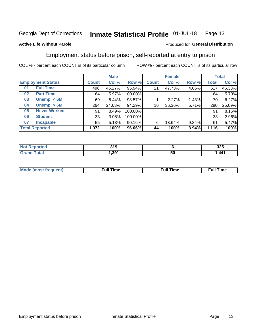#### Inmate Statistical Profile 01-JUL-18 Page 13

### **Active Life Without Parole**

### Produced for General Distribution

## Employment status before prison, self-reported at entry to prison

COL % - percent each COUNT is of its particular column

|                           |              | <b>Male</b> |         |              | <b>Female</b> |       |       | <b>Total</b> |
|---------------------------|--------------|-------------|---------|--------------|---------------|-------|-------|--------------|
| <b>Employment Status</b>  | <b>Count</b> | Col %       | Row %   | <b>Count</b> | Col %         | Row % | Total | Col %        |
| <b>Full Time</b><br>01    | 496          | 46.27%      | 95.94%  | 21           | 47.73%        | 4.06% | 517   | 46.33%       |
| <b>Part Time</b><br>02    | 64           | 5.97%       | 100.00% |              |               |       | 64    | 5.73%        |
| Unempl $<$ 6M<br>03       | 69           | 6.44%       | 98.57%  |              | 2.27%         | 1.43% | 70    | 6.27%        |
| Unempl > 6M<br>04         | 264          | 24.63%      | 94.29%  | 16           | 36.36%        | 5.71% | 280   | 25.09%       |
| <b>Never Worked</b><br>05 | 91           | 8.49%       | 100.00% |              |               |       | 91    | 8.15%        |
| <b>Student</b><br>06      | 33           | 3.08%       | 100.00% |              |               |       | 33    | 2.96%        |
| <b>Incapable</b><br>07    | 55           | 5.13%       | 90.16%  | 6            | 13.64%        | 9.84% | 61    | 5.47%        |
| <b>Total Reported</b>     | 1,072        | 100%        | 96.06%  | 44           | 100%          | 3.94% | 1,116 | 100%         |

| TH. | 310<br>JIJ<br>$ -$ |    | っっこ<br>◡∸◡ |
|-----|--------------------|----|------------|
|     | .391               | 50 | .441       |

| Mc | ∙u∥<br>----<br>ıme | ίuΙ<br>Πmε |
|----|--------------------|------------|
|    |                    |            |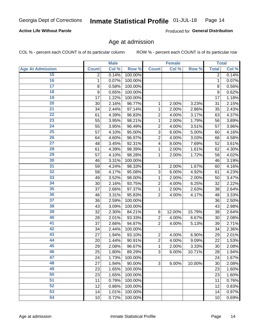### **Active Life Without Parole**

Produced for General Distribution

## Age at admission

COL % - percent each COUNT is of its particular column

|                         |                | <b>Male</b> |         |                | <b>Female</b> |        |              | <b>Total</b> |
|-------------------------|----------------|-------------|---------|----------------|---------------|--------|--------------|--------------|
| <b>Age At Admission</b> | <b>Count</b>   | Col %       | Row %   | <b>Count</b>   | Col %         | Row %  | <b>Total</b> | Col %        |
| 15                      | $\overline{2}$ | 0.14%       | 100.00% |                |               |        | 2            | 0.14%        |
| 16                      | 1              | 0.07%       | 100.00% |                |               |        | $\mathbf{1}$ | 0.07%        |
| $\overline{17}$         | 8              | 0.58%       | 100.00% |                |               |        | 8            | 0.56%        |
| 18                      | 9              | 0.65%       | 100.00% |                |               |        | 9            | 0.62%        |
| 19                      | 17             | 1.22%       | 100.00% |                |               |        | 17           | 1.18%        |
| $\overline{20}$         | 30             | 2.16%       | 96.77%  | 1              | 2.00%         | 3.23%  | 31           | 2.15%        |
| $\overline{21}$         | 34             | 2.44%       | 97.14%  | 1              | 2.00%         | 2.86%  | 35           | 2.43%        |
| 22                      | 61             | 4.39%       | 96.83%  | $\overline{2}$ | 4.00%         | 3.17%  | 63           | 4.37%        |
| $\overline{23}$         | 55             | 3.95%       | 98.21%  | 1              | 2.00%         | 1.79%  | 56           | 3.89%        |
| $\overline{24}$         | 55             | 3.95%       | 96.49%  | $\overline{2}$ | 4.00%         | 3.51%  | 57           | 3.96%        |
| $\overline{25}$         | 57             | 4.10%       | 95.00%  | 3              | 6.00%         | 5.00%  | 60           | 4.16%        |
| 26                      | 64             | 4.60%       | 96.97%  | $\overline{2}$ | 4.00%         | 3.03%  | 66           | 4.58%        |
| $\overline{27}$         | 48             | 3.45%       | 92.31%  | 4              | 8.00%         | 7.69%  | 52           | 3.61%        |
| 28                      | 61             | 4.39%       | 98.39%  | 1              | 2.00%         | 1.61%  | 62           | 4.30%        |
| 29                      | 57             | 4.10%       | 98.28%  | 1              | 2.00%         | 1.72%  | 58           | 4.02%        |
| 30                      | 46             | 3.31%       | 100.00% |                |               |        | 46           | 3.19%        |
| 31                      | 59             | 4.24%       | 98.33%  | 1              | 2.00%         | 1.67%  | 60           | 4.16%        |
| 32                      | 58             | 4.17%       | 95.08%  | 3              | 6.00%         | 4.92%  | 61           | 4.23%        |
| 33                      | 49             | 3.52%       | 98.00%  | 1              | 2.00%         | 2.00%  | 50           | 3.47%        |
| 34                      | 30             | 2.16%       | 93.75%  | $\overline{2}$ | 4.00%         | 6.25%  | 32           | 2.22%        |
| 35                      | 37             | 2.66%       | 97.37%  | 1              | 2.00%         | 2.63%  | 38           | 2.64%        |
| 36                      | 46             | 3.31%       | 95.83%  | $\overline{2}$ | 4.00%         | 4.17%  | 48           | 3.33%        |
| $\overline{37}$         | 36             | 2.59%       | 100.00% |                |               |        | 36           | 2.50%        |
| 38                      | 43             | 3.09%       | 100.00% |                |               |        | 43           | 2.98%        |
| 39                      | 32             | 2.30%       | 84.21%  | $\,6$          | 12.00%        | 15.79% | 38           | 2.64%        |
| 40                      | 28             | 2.01%       | 93.33%  | $\overline{2}$ | 4.00%         | 6.67%  | 30           | 2.08%        |
| 41                      | 37             | 2.66%       | 94.87%  | $\overline{2}$ | 4.00%         | 5.13%  | 39           | 2.71%        |
| 42                      | 34             | 2.44%       | 100.00% |                |               |        | 34           | 2.36%        |
| 43                      | 27             | 1.94%       | 93.10%  | $\overline{2}$ | 4.00%         | 6.90%  | 29           | 2.01%        |
| 44                      | 20             | 1.44%       | 90.91%  | $\overline{2}$ | 4.00%         | 9.09%  | 22           | 1.53%        |
| 45                      | 29             | 2.08%       | 96.67%  | 1              | 2.00%         | 3.33%  | 30           | 2.08%        |
| 46                      | 25             | 1.80%       | 89.29%  | 3              | 6.00%         | 10.71% | 28           | 1.94%        |
| 47                      | 24             | 1.73%       | 100.00% |                |               |        | 24           | 1.67%        |
| 48                      | 27             | 1.94%       | 90.00%  | 3              | 6.00%         | 10.00% | 30           | 2.08%        |
| 49                      | 23             | 1.65%       | 100.00% |                |               |        | 23           | 1.60%        |
| 50                      | 23             | 1.65%       | 100.00% |                |               |        | 23           | 1.60%        |
| 51                      | 11             | 0.79%       | 100.00% |                |               |        | 11           | 0.76%        |
| 52                      | 12             | 0.86%       | 100.00% |                |               |        | 12           | 0.83%        |
| 53                      | 14             | 1.01%       | 100.00% |                |               |        | 14           | 0.97%        |
| 54                      | 10             | 0.72%       | 100.00% |                |               |        | 10           | 0.69%        |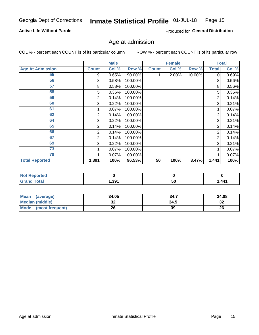### **Active Life Without Parole**

Produced for General Distribution

## Age at admission

COL % - percent each COUNT is of its particular column

|                         |              | <b>Male</b> |         |              | <b>Female</b> |        |                 | <b>Total</b> |
|-------------------------|--------------|-------------|---------|--------------|---------------|--------|-----------------|--------------|
| <b>Age At Admission</b> | <b>Count</b> | Col %       | Row %   | <b>Count</b> | Col %         | Row %  | <b>Total</b>    | Col %        |
| 55                      | 9            | 0.65%       | 90.00%  |              | 2.00%         | 10.00% | 10 <sup>1</sup> | 0.69%        |
| 56                      | 8            | 0.58%       | 100.00% |              |               |        | 8               | 0.56%        |
| 57                      | 8            | 0.58%       | 100.00% |              |               |        | 8               | 0.56%        |
| 58                      | 5            | 0.36%       | 100.00% |              |               |        | 5               | 0.35%        |
| 59                      | 2            | 0.14%       | 100.00% |              |               |        | 2               | 0.14%        |
| 60                      | 3            | 0.22%       | 100.00% |              |               |        | 3               | 0.21%        |
| 61                      |              | $0.07\%$    | 100.00% |              |               |        |                 | 0.07%        |
| 62                      | 2            | 0.14%       | 100.00% |              |               |        | 2               | 0.14%        |
| 64                      | 3            | 0.22%       | 100.00% |              |               |        | 3               | 0.21%        |
| 65                      | 2            | 0.14%       | 100.00% |              |               |        | 2               | 0.14%        |
| 66                      | 2            | 0.14%       | 100.00% |              |               |        | 2               | 0.14%        |
| 67                      | 2            | 0.14%       | 100.00% |              |               |        | 2               | 0.14%        |
| 69                      | 3            | 0.22%       | 100.00% |              |               |        | 3               | 0.21%        |
| 73                      |              | 0.07%       | 100.00% |              |               |        |                 | 0.07%        |
| 78                      |              | 0.07%       | 100.00% |              |               |        |                 | 0.07%        |
| <b>Total Reported</b>   | 1,391        | 100%        | 96.53%  | 50           | 100%          | 3.47%  | 1,441           | 100%         |

| <b>Not Reported</b> |      |    |      |
|---------------------|------|----|------|
| <b>Total</b>        | ,391 | ວບ | ,441 |

| Mean<br>(average)      | 34.05    | 34.7 | 34.08   |
|------------------------|----------|------|---------|
| <b>Median (middle)</b> | ^^<br>JZ | 34.5 | ົ<br>∠ت |
| Mode (most frequent)   | 26       | 39   | 26      |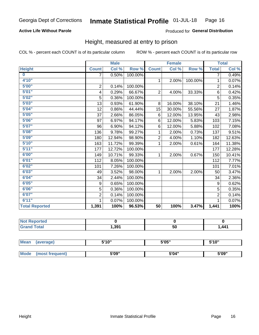## **Active Life Without Parole**

### Produced for General Distribution

## Height, measured at entry to prison

COL % - percent each COUNT is of its particular column

|                       |                | <b>Male</b> |         |                 | <b>Female</b> |         |                | <b>Total</b> |
|-----------------------|----------------|-------------|---------|-----------------|---------------|---------|----------------|--------------|
| <b>Height</b>         | <b>Count</b>   | Col %       | Row %   | <b>Count</b>    | Col %         | Row %   | <b>Total</b>   | Col %        |
| $\bf{0}$              | $\overline{7}$ | 0.50%       | 100.00% |                 |               |         | 7              | 0.49%        |
| 4'10''                |                |             |         | $\mathbf{1}$    | 2.00%         | 100.00% | 1              | 0.07%        |
| 5'00''                | $\mathbf 2$    | 0.14%       | 100.00% |                 |               |         | $\overline{2}$ | 0.14%        |
| 5'01"                 | 4              | 0.29%       | 66.67%  | $\overline{2}$  | 4.00%         | 33.33%  | 6              | 0.42%        |
| 5'02"                 | 5              | 0.36%       | 100.00% |                 |               |         | 5              | 0.35%        |
| 5'03''                | 13             | 0.93%       | 61.90%  | 8               | 16.00%        | 38.10%  | 21             | 1.46%        |
| 5'04"                 | 12             | 0.86%       | 44.44%  | 15              | 30.00%        | 55.56%  | 27             | 1.87%        |
| 5'05"                 | 37             | 2.66%       | 86.05%  | 6               | 12.00%        | 13.95%  | 43             | 2.98%        |
| 5'06''                | 97             | 6.97%       | 94.17%  | 6               | 12.00%        | 5.83%   | 103            | 7.15%        |
| 5'07''                | 96             | 6.90%       | 94.12%  | 6               | 12.00%        | 5.88%   | 102            | 7.08%        |
| 5'08''                | 136            | 9.78%       | 99.27%  | 1               | 2.00%         | 0.73%   | 137            | 9.51%        |
| 5'09''                | 180            | 12.94%      | 98.90%  | $\overline{2}$  | 4.00%         | 1.10%   | 182            | 12.63%       |
| 5'10''                | 163            | 11.72%      | 99.39%  | 1               | 2.00%         | 0.61%   | 164            | 11.38%       |
| 5'11''                | 177            | 12.72%      | 100.00% |                 |               |         | 177            | 12.28%       |
| 6'00''                | 149            | 10.71%      | 99.33%  | 1               | 2.00%         | 0.67%   | 150            | 10.41%       |
| 6'01''                | 112            | 8.05%       | 100.00% |                 |               |         | 112            | 7.77%        |
| 6'02"                 | 101            | 7.26%       | 100.00% |                 |               |         | 101            | 7.01%        |
| 6'03''                | 49             | 3.52%       | 98.00%  | $\mathbf{1}$    | 2.00%         | 2.00%   | 50             | 3.47%        |
| 6'04"                 | 34             | 2.44%       | 100.00% |                 |               |         | 34             | 2.36%        |
| 6'05"                 | 9              | 0.65%       | 100.00% |                 |               |         | 9              | 0.62%        |
| 6'06''                | 5              | 0.36%       | 100.00% |                 |               |         | 5              | 0.35%        |
| 6'07''                | $\overline{2}$ | 0.14%       | 100.00% |                 |               |         | $\overline{2}$ | 0.14%        |
| 6'11''                | 1              | 0.07%       | 100.00% |                 |               |         | 1              | 0.07%        |
| <b>Total Reported</b> | 1,391          | 100%        | 96.53%  | $\overline{50}$ | 100%          | 3.47%   | 1,441          | 100%         |

| <b>Not Reported</b> |       |    |       |
|---------------------|-------|----|-------|
| <b>Total</b>        | 1.391 | 50 | 1.441 |

| <b>Mean</b> | (average)       | 5'10" | 5'05" | 5'10'' |
|-------------|-----------------|-------|-------|--------|
|             |                 |       |       |        |
| <b>Mode</b> | (most frequent) | 5'09" | 5'04" | 5'09"  |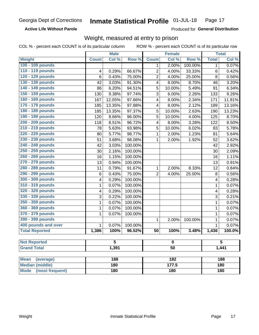**Active Life Without Parole** 

Produced for General Distribution

## Weight, measured at entry to prison

COL % - percent each COUNT is of its particular column

|                                |              | <b>Male</b> |                 |                  | <b>Female</b> |         |              | <b>Total</b> |  |
|--------------------------------|--------------|-------------|-----------------|------------------|---------------|---------|--------------|--------------|--|
| <b>Weight</b>                  | <b>Count</b> | Col %       | Row %           | <b>Count</b>     | Col %         | Row %   | <b>Total</b> | Col %        |  |
| 100 - 109 pounds               |              |             |                 | 1                | 2.00%         | 100.00% | 1            | 0.07%        |  |
| 110 - 119 pounds               | 4            | 0.29%       | 66.67%          | $\overline{2}$   | 4.00%         | 33.33%  | 6            | 0.42%        |  |
| 120 - 129 pounds               | 6            | 0.43%       | 75.00%          | $\overline{c}$   | 4.00%         | 25.00%  | 8            | 0.56%        |  |
| 130 - 139 pounds               | 42           | 3.03%       | 91.30%          | 4                | 8.00%         | 8.70%   | 46           | 3.20%        |  |
| 140 - 149 pounds               | 86           | 6.20%       | 94.51%          | 5                | 10.00%        | 5.49%   | 91           | 6.34%        |  |
| 150 - 159 pounds               | 130          | 9.38%       | 97.74%          | 3                | 6.00%         | 2.26%   | 133          | 9.26%        |  |
| 160 - 169 pounds               | 167          | 12.05%      | 97.66%          | 4                | 8.00%         | 2.34%   | 171          | 11.91%       |  |
| 170 - 179 pounds               | 185          | 13.35%      | 97.88%          | 4                | 8.00%         | 2.12%   | 189          | 13.16%       |  |
| 180 - 189 pounds               | 185          | 13.35%      | 97.37%          | 5                | 10.00%        | 2.63%   | 190          | 13.23%       |  |
| 190 - 199 pounds               | 120          | 8.66%       | 96.00%          | 5                | 10.00%        | 4.00%   | 125          | 8.70%        |  |
| 200 - 209 pounds               | 118          | 8.51%       | 96.72%          | 4                | 8.00%         | 3.28%   | 122          | 8.50%        |  |
| 210 - 219 pounds               | 78           | 5.63%       | 93.98%          | 5                | 10.00%        | 6.02%   | 83           | 5.78%        |  |
| 220 - 229 pounds               | 80           | 5.77%       | 98.77%          | $\mathbf{1}$     | 2.00%         | 1.23%   | 81           | 5.64%        |  |
| 230 - 239 pounds               | 51           | 3.68%       | 98.08%          | 1                | 2.00%         | 1.92%   | 52           | 3.62%        |  |
| 240 - 249 pounds               | 42           | 3.03%       | 100.00%         |                  |               |         | 42           | 2.92%        |  |
| 250 - 259 pounds               | 30           | 2.16%       | 100.00%         |                  |               |         | 30           | 2.09%        |  |
| 260 - 269 pounds               | 16           | 1.15%       | 100.00%         |                  |               |         | 16           | 1.11%        |  |
| 270 - 279 pounds               | 13           | 0.94%       | 100.00%         |                  |               |         | 13           | 0.91%        |  |
| 280 - 289 pounds               | 11           | 0.79%       | 91.67%          | 1                | 2.00%         | 8.33%   | 12           | 0.84%        |  |
| 290 - 299 pounds               | 6            | 0.43%       | 75.00%          | $\overline{2}$   | 4.00%         | 25.00%  | 8            | 0.56%        |  |
| 300 - 309 pounds               | 4            | 0.29%       | 100.00%         |                  |               |         | 4            | 0.28%        |  |
| 310 - 319 pounds               | 1            | 0.07%       | 100.00%         |                  |               |         | $\mathbf{1}$ | 0.07%        |  |
| 320 - 329 pounds               | 4            | 0.29%       | 100.00%         |                  |               |         | 4            | 0.28%        |  |
| 330 - 339 pounds               | 3            | 0.22%       | 100.00%         |                  |               |         | 3            | 0.21%        |  |
| 350 - 359 pounds               | 1            | 0.07%       | 100.00%         |                  |               |         | $\mathbf{1}$ | 0.07%        |  |
| 360 - 369 pounds               | 1            | 0.07%       | 100.00%         |                  |               |         | $\mathbf 1$  | 0.07%        |  |
| 370 - 379 pounds               | 1            | 0.07%       | 100.00%         |                  |               |         | $\mathbf 1$  | 0.07%        |  |
| 390 - 399 pounds               |              |             |                 | 1                | 2.00%         | 100.00% | 1            | 0.07%        |  |
| 400 pounds and over            | $\mathbf{1}$ | 0.07%       | 100.00%         |                  |               |         | $\mathbf{1}$ | 0.07%        |  |
| <b>Total Reported</b>          | 1,386        | 100%        | 96.52%          | $\overline{50}$  | 100%          | 3.48%   | 1,436        | 100.0%       |  |
|                                |              |             |                 |                  |               |         |              |              |  |
| <b>Not Reported</b>            |              | 5           |                 |                  | 0             |         |              | 5            |  |
| <b>Grand Total</b>             | 1,391        |             | $\overline{50}$ |                  |               |         | 1,441        |              |  |
|                                |              |             |                 |                  |               |         |              |              |  |
| <b>Mean</b><br>(average)       |              | 188         |                 | $\overline{182}$ |               |         | 188          |              |  |
| <b>Median (middle)</b>         |              | 180         |                 |                  | 177.5         |         | 180          |              |  |
| <b>Mode</b><br>(most frequent) |              | 180         |                 | 180              |               |         | 180          |              |  |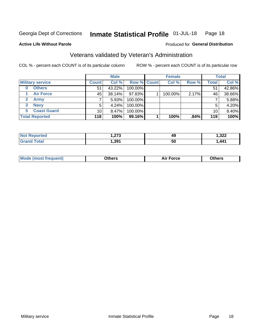#### Inmate Statistical Profile 01-JUL-18 Page 18

**Active Life Without Parole** 

### Produced for General Distribution

## Veterans validated by Veteran's Administration

COL % - percent each COUNT is of its particular column

|                           |              | <b>Male</b> |         |             | <b>Female</b> |       |              | <b>Total</b> |
|---------------------------|--------------|-------------|---------|-------------|---------------|-------|--------------|--------------|
| <b>Military service</b>   | <b>Count</b> | Col %       |         | Row % Count | Col %         | Row % | <b>Total</b> | Col %        |
| <b>Others</b><br>$\bf{0}$ | 51           | 43.22%      | 100.00% |             |               |       | 51           | 42.86%       |
| <b>Air Force</b>          | 45           | 38.14%      | 97.83%  |             | 100.00%       | 2.17% | 46           | 38.66%       |
| Army                      |              | 5.93%       | 100.00% |             |               |       |              | 5.88%        |
| <b>Navy</b><br>3          | 5            | 4.24%       | 100.00% |             |               |       | 5            | 4.20%        |
| <b>Coast Guard</b><br>5.  | 10           | $8.47\%$    | 100.00% |             |               |       | 10           | 8.40%        |
| <b>Total Reported</b>     | 118          | 100%        | 99.16%  |             | 100%          | .84%  | 119          | 100%         |

| тес   | 0.70<br>ں اے . | 49 | າາາ<br>$-222$<br>__ |
|-------|----------------|----|---------------------|
| Гоtal | 391.،          | 50 | 44 <sup>4</sup>     |

| Mo<br>m | ∖‡h∧rc<br>____ | $-0.002$<br>28 F T<br>UI CE | <b>Others</b><br>____ |
|---------|----------------|-----------------------------|-----------------------|
|         |                |                             |                       |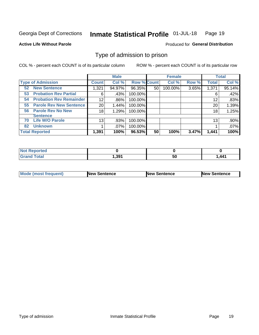#### Inmate Statistical Profile 01-JUL-18 Page 19

**Active Life Without Parole** 

Produced for General Distribution

## Type of admission to prison

COL % - percent each COUNT is of its particular column

|                                      |                 | <b>Male</b> |                    |    | <b>Female</b> |       |              | <b>Total</b> |
|--------------------------------------|-----------------|-------------|--------------------|----|---------------|-------|--------------|--------------|
| <b>Type of Admission</b>             | <b>Count</b>    | Col %       | <b>Row % Count</b> |    | Col %         | Row % | <b>Total</b> | Col %        |
| <b>52 New Sentence</b>               | 1,321           | 94.97%      | 96.35%             | 50 | 100.00%       | 3.65% | 1,371        | 95.14%       |
| <b>Probation Rev Partial</b><br>53   | 6               | .43%        | 100.00%            |    |               |       | 6            | .42%         |
| <b>Probation Rev Remainder</b><br>54 | 12 <sub>2</sub> | .86%        | 100.00%            |    |               |       | 12           | .83%         |
| <b>Parole Rev New Sentence</b><br>55 | 20              | 1.44%       | 100.00%            |    |               |       | 20           | 1.39%        |
| <b>Parole Rev No New</b><br>56       | 18              | 1.29%       | 100.00%            |    |               |       | 18           | 1.25%        |
| <b>Sentence</b>                      |                 |             |                    |    |               |       |              |              |
| <b>Life W/O Parole</b><br>70         | 13              | .93%        | 100.00%            |    |               |       | 13           | .90%         |
| <b>Unknown</b><br>82                 |                 | $.07\%$     | 100.00%            |    |               |       |              | .07%         |
| <b>Total Reported</b>                | 1,391           | 100%        | 96.53%             | 50 | 100%          | 3.47% | 1,441        | 100%         |

| Reported<br><b>NOT</b> |       |    |                 |
|------------------------|-------|----|-----------------|
| Total<br>"Granu        | 1,391 | 50 | <b>441</b><br>. |

| Mode (most frequent) | <b>New Sentence</b> | <b>New Sentence</b> | <b>New Sentence</b> |
|----------------------|---------------------|---------------------|---------------------|
|                      |                     |                     |                     |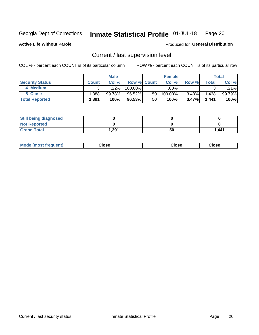#### Inmate Statistical Profile 01-JUL-18 Page 20

**Active Life Without Parole** 

## Produced for General Distribution

## Current / last supervision level

COL % - percent each COUNT is of its particular column

|                        |              | <b>Male</b> |                    |    | <b>Female</b> |          |       | <b>Total</b> |
|------------------------|--------------|-------------|--------------------|----|---------------|----------|-------|--------------|
| <b>Security Status</b> | <b>Count</b> | Col%        | <b>Row % Count</b> |    | Col %         | Row %    | Total | Col %        |
| 4 Medium               | ົ            | .22%        | $100.00\%$         |    | .00%          |          |       | .21%         |
| 5 Close                | .388'        | 99.78%      | 96.52%             | 50 | 100.00%       | 3.48%    | 1,438 | 99.79%       |
| <b>Total Reported</b>  | 1,391        | 100%        | 96.53%             | 50 | 100%          | $3.47\%$ | 1,441 | 100%         |

| <b>Still being diagnosed</b> |       |    |       |
|------------------------------|-------|----|-------|
| <b>Not Reported</b>          |       |    |       |
| <b>Grand Total</b>           | 391.ا | 50 | 1.441 |

| <b>AhoM</b><br>rreauent) | <b>Close</b> | Close | Close |
|--------------------------|--------------|-------|-------|
|                          |              |       |       |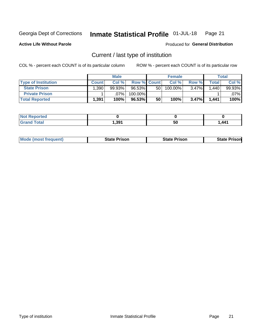#### Inmate Statistical Profile 01-JUL-18 Page 21

**Active Life Without Parole** 

Produced for General Distribution

## Current / last type of institution

COL % - percent each COUNT is of its particular column

|                            |              | <b>Male</b> |                    |                 | <b>Female</b> |          |        | <b>Total</b> |
|----------------------------|--------------|-------------|--------------------|-----------------|---------------|----------|--------|--------------|
| <b>Type of Institution</b> | <b>Count</b> | Col %       | <b>Row % Count</b> |                 | Col %         | Row %    | Total⊥ | Col %        |
| <b>State Prison</b>        | .390         | 99.93%      | 96.53%             | 50 <sub>1</sub> | 100.00%       | $3.47\%$ | .440   | 99.93%       |
| <b>Private Prison</b>      |              | $.07\%$     | 100.00%            |                 |               |          |        | .07%         |
| <b>Total Reported</b>      | 1,391        | 100%        | $96.53\%$          | 50              | 100%          | 3.47%    | 1,441  | 100%         |

| <b>Reported</b> |       |    |       |
|-----------------|-------|----|-------|
| <b>cotal</b>    | 1,391 | 50 | 1.441 |

|  | <b>Mode (most frequent)</b> | State Prison | <b>State Prison</b> | risonl<br>State |
|--|-----------------------------|--------------|---------------------|-----------------|
|--|-----------------------------|--------------|---------------------|-----------------|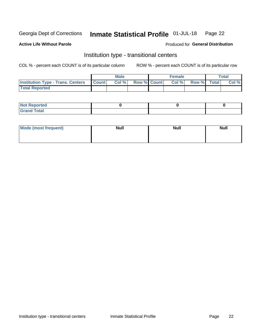#### Inmate Statistical Profile 01-JUL-18 Page 22

### **Active Life Without Parole**

### Produced for General Distribution

## Institution type - transitional centers

COL % - percent each COUNT is of its particular column

|                                                | Male  |                    | <b>Female</b> |                   | Total |
|------------------------------------------------|-------|--------------------|---------------|-------------------|-------|
| <b>Institution Type - Trans. Centers Count</b> | Col % | <b>Row % Count</b> |               | Col % Row % Total | Col % |
| <b>Total Reported</b>                          |       |                    |               |                   |       |

| <b>Reported</b><br><b>NOT</b><br>$\sim$            |  |  |
|----------------------------------------------------|--|--|
| $f$ $f \circ f \circ f$<br>$C = 1$<br><b>TULAI</b> |  |  |

| Mode (most frequent) | <b>Null</b> | <b>Null</b> | <b>Null</b> |
|----------------------|-------------|-------------|-------------|
|                      |             |             |             |
|                      |             |             |             |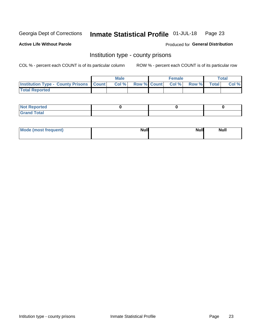#### Inmate Statistical Profile 01-JUL-18 Page 23

**Active Life Without Parole** 

**Produced for General Distribution** 

## Institution type - county prisons

COL % - percent each COUNT is of its particular column

|                                                    | <b>Male</b> |       |  | <b>Female</b> |                          |             | <b>Total</b> |       |  |
|----------------------------------------------------|-------------|-------|--|---------------|--------------------------|-------------|--------------|-------|--|
| <b>Institution Type - County Prisons   Count  </b> |             | Col % |  |               | <b>Row % Count Col %</b> | Row % Total |              | Col % |  |
| <b>Total Reported</b>                              |             |       |  |               |                          |             |              |       |  |

| <b>Not</b><br>: Reported<br>$\cdots$ |  |  |
|--------------------------------------|--|--|
| <b>Total</b><br>---                  |  |  |

| Mode (most frequent) | <b>Null</b> | <b>Null</b><br><b>Null</b> |
|----------------------|-------------|----------------------------|
|                      |             |                            |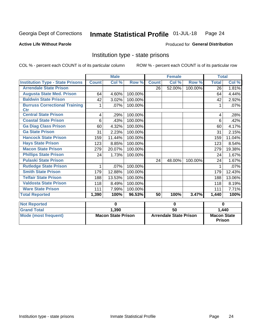#### Inmate Statistical Profile 01-JUL-18 Page 24

### **Active Life Without Parole**

### Produced for General Distribution

## Institution type - state prisons

COL % - percent each COUNT is of its particular column

|                                                    | <b>Male</b>               |        |         |                               | <b>Female</b>             |          | <b>Total</b>                        |        |  |
|----------------------------------------------------|---------------------------|--------|---------|-------------------------------|---------------------------|----------|-------------------------------------|--------|--|
| <b>Institution Type - State Prisons</b>            | <b>Count</b>              | Col %  | Row %   | <b>Count</b>                  | $\overline{\text{Col}}$ % | Row %    | <b>Total</b>                        | Col %  |  |
| <b>Arrendale State Prison</b>                      |                           |        |         | 26                            | 52.00%                    | 100.00%  | 26                                  | 1.81%  |  |
| <b>Augusta State Med. Prison</b>                   | 64                        | 4.60%  | 100.00% |                               |                           |          | 64                                  | 4.44%  |  |
| <b>Baldwin State Prison</b>                        | 42                        | 3.02%  | 100.00% |                               |                           |          | 42                                  | 2.92%  |  |
| <b>Burruss Correctional Training</b><br><b>Ctr</b> | 1                         | .07%   | 100.00% |                               |                           |          |                                     | .07%   |  |
| <b>Central State Prison</b>                        | 4                         | .29%   | 100.00% |                               |                           |          | 4                                   | .28%   |  |
| <b>Coastal State Prison</b>                        | 6                         | .43%   | 100.00% |                               |                           |          | 6                                   | .42%   |  |
| <b>Ga Diag Class Prison</b>                        | 60                        | 4.32%  | 100.00% |                               |                           |          | 60                                  | 4.17%  |  |
| <b>Ga State Prison</b>                             | 31                        | 2.23%  | 100.00% |                               |                           |          | 31                                  | 2.15%  |  |
| <b>Hancock State Prison</b>                        | 159                       | 11.44% | 100.00% |                               |                           |          | 159                                 | 11.04% |  |
| <b>Hays State Prison</b>                           | 123                       | 8.85%  | 100.00% |                               |                           |          | 123                                 | 8.54%  |  |
| <b>Macon State Prison</b>                          | 279                       | 20.07% | 100.00% |                               |                           |          | 279                                 | 19.38% |  |
| <b>Phillips State Prison</b>                       | 24                        | 1.73%  | 100.00% |                               |                           |          | 24                                  | 1.67%  |  |
| <b>Pulaski State Prison</b>                        |                           |        |         | 24                            | 48.00%                    | 100.00%  | 24                                  | 1.67%  |  |
| <b>Rutledge State Prison</b>                       | 1                         | .07%   | 100.00% |                               |                           |          |                                     | .07%   |  |
| <b>Smith State Prison</b>                          | 179                       | 12.88% | 100.00% |                               |                           |          | 179                                 | 12.43% |  |
| <b>Telfair State Prison</b>                        | 188                       | 13.53% | 100.00% |                               |                           |          | 188                                 | 13.06% |  |
| <b>Valdosta State Prison</b>                       | 118                       | 8.49%  | 100.00% |                               |                           |          | 118                                 | 8.19%  |  |
| <b>Ware State Prison</b>                           | 111                       | 7.99%  | 100.00% |                               |                           |          | 111                                 | 7.71%  |  |
| <b>Total Reported</b>                              | 1.390                     | 100%   | 96.53%  | 50                            | 100%                      | 3.47%    | 1,440                               | 100%   |  |
| <b>Not Reported</b>                                | $\bf{0}$                  |        | 0       |                               |                           | $\bf{0}$ |                                     |        |  |
| <b>Grand Total</b>                                 |                           | 1,390  |         | 50                            |                           |          | 1,440                               |        |  |
| <b>Mode (most frequent)</b>                        | <b>Macon State Prison</b> |        |         | <b>Arrendale State Prison</b> |                           |          | <b>Macon State</b><br><b>Prison</b> |        |  |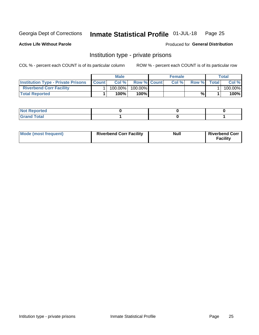#### Inmate Statistical Profile 01-JUL-18 Page 25

**Active Life Without Parole** 

Produced for General Distribution

## Institution type - private prisons

COL % - percent each COUNT is of its particular column

|                                           | <b>Male</b>    |         |                    | <b>Female</b> |       |       | Total |         |
|-------------------------------------------|----------------|---------|--------------------|---------------|-------|-------|-------|---------|
| <b>Institution Type - Private Prisons</b> | <b>I</b> Count | Col%    | <b>Row % Count</b> |               | Col % | Row % | Total | Col %   |
| <b>Riverbend Corr Facility</b>            |                | 100.00% | $100.00\%$         |               |       |       |       | 100.00% |
| <b>Total Reported</b>                     |                | $100\%$ | $100\%$            |               |       | %\    |       | 100%    |

| $\parallel$ Not Reported                       |  |  |
|------------------------------------------------|--|--|
| $int^{\bullet}$<br>$\cdots$ $\cdots$<br>______ |  |  |

| Mode (most frequent) | <b>Riverbend Corr Facility</b> | Null | <b>Riverbend Corr</b><br>Facility |
|----------------------|--------------------------------|------|-----------------------------------|
|----------------------|--------------------------------|------|-----------------------------------|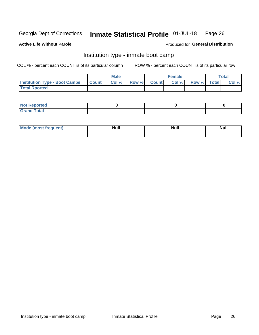#### Inmate Statistical Profile 01-JUL-18 Page 26

### **Active Life Without Parole**

### Produced for General Distribution

## Institution type - inmate boot camp

COL % - percent each COUNT is of its particular column

|                                      | <b>Male</b>      |       |              | <b>Female</b> |       |             | <b>Total</b> |       |
|--------------------------------------|------------------|-------|--------------|---------------|-------|-------------|--------------|-------|
| <b>Institution Type - Boot Camps</b> | <b>I</b> Count I | Col % | <b>Row %</b> | <b>Count</b>  | Col % | Row % Total |              | Col % |
| <b>Total Rported</b>                 |                  |       |              |               |       |             |              |       |

| <b>Not Reported</b> |  |  |
|---------------------|--|--|
| <b>Total</b><br>Cro |  |  |

| Mod<br>uamo | Nul.<br>$- - - - - -$ | <b>Null</b> | . .<br>uu.<br>------ |
|-------------|-----------------------|-------------|----------------------|
|             |                       |             |                      |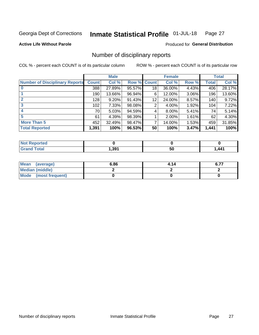#### Inmate Statistical Profile 01-JUL-18 Page 27

### **Active Life Without Parole**

Produced for General Distribution

## Number of disciplinary reports

COL % - percent each COUNT is of its particular column

|                                       | <b>Male</b>  |          |        | <b>Female</b> |        |          | <b>Total</b> |        |
|---------------------------------------|--------------|----------|--------|---------------|--------|----------|--------------|--------|
| <b>Number of Disciplinary Reports</b> | <b>Count</b> | Col %    | Row %  | <b>Count</b>  | Col %  | Row %    | Total        | Col %  |
|                                       | 388          | 27.89%   | 95.57% | 18            | 36.00% | 4.43%    | 406          | 28.17% |
|                                       | 190          | 13.66%   | 96.94% | 6             | 12.00% | 3.06%    | 196          | 13.60% |
| 2                                     | 128          | $9.20\%$ | 91.43% | 12            | 24.00% | 8.57%    | 140          | 9.72%  |
| 3                                     | 102          | $7.33\%$ | 98.08% | 2             | 4.00%  | 1.92%    | 104          | 7.22%  |
|                                       | 70           | 5.03%    | 94.59% | 4             | 8.00%  | 5.41%    | 74           | 5.14%  |
| 5                                     | 61           | 4.39%    | 98.39% |               | 2.00%  | $1.61\%$ | 62           | 4.30%  |
| <b>More Than 5</b>                    | 452          | 32.49%   | 98.47% | 7             | 14.00% | 1.53%    | 459          | 31.85% |
| <b>Total Reported</b>                 | 1,391        | 100%     | 96.53% | 50            | 100%   | 3.47%    | 1,441        | 100%   |

| <b>Not Reported</b> |       |    |                |
|---------------------|-------|----|----------------|
| ™otal               | , 391 | 50 | 441<br>- - - 1 |

| Mean (average)       | 6.86 | 4.14 | <b>C 77</b><br>0.1. |
|----------------------|------|------|---------------------|
| Median (middle)      |      |      |                     |
| Mode (most frequent) |      |      |                     |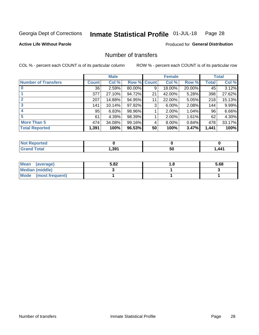#### Inmate Statistical Profile 01-JUL-18 Page 28

**Active Life Without Parole** 

**Produced for General Distribution** 

## Number of transfers

COL % - percent each COUNT is of its particular column

|                            | <b>Male</b>  |           | <b>Female</b> |    |        | <b>Total</b> |              |        |
|----------------------------|--------------|-----------|---------------|----|--------|--------------|--------------|--------|
| <b>Number of Transfers</b> | <b>Count</b> | Col %     | Row % Count   |    | Col %  | Row %        | <b>Total</b> | Col %  |
|                            | 36           | 2.59%     | 80.00%        | 9  | 18.00% | 20.00%       | 45           | 3.12%  |
|                            | 377          | 27.10%    | 94.72%        | 21 | 42.00% | 5.28%        | 398          | 27.62% |
| $\mathbf{2}$               | 207          | 14.88%    | 94.95%        | 11 | 22.00% | 5.05%        | 218          | 15.13% |
| 3                          | 141          | $10.14\%$ | 97.92%        | 3  | 6.00%  | 2.08%        | 144          | 9.99%  |
|                            | 95           | 6.83%     | 98.96%        |    | 2.00%  | 1.04%        | 96           | 6.66%  |
| 5                          | 61           | 4.39%     | 98.39%        |    | 2.00%  | $1.61\%$     | 62           | 4.30%  |
| <b>More Than 5</b>         | 474          | 34.08%    | 99.16%        | 4  | 8.00%  | 0.84%        | 478          | 33.17% |
| <b>Total Reported</b>      | 1,391        | 100%      | 96.53%        | 50 | 100%   | 3.47%        | 1,441        | 100%   |

| <b>Not Reported</b> |       |    |                |
|---------------------|-------|----|----------------|
| ™otal               | , 391 | 50 | 441<br>- - - 1 |

| Mean (average)       | 5.82 | . . | 5.68 |
|----------------------|------|-----|------|
| Median (middle)      |      |     |      |
| Mode (most frequent) |      |     |      |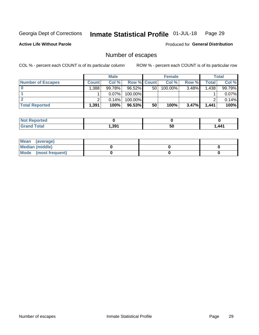#### Inmate Statistical Profile 01-JUL-18 Page 29

**Active Life Without Parole** 

Produced for General Distribution

## Number of escapes

COL % - percent each COUNT is of its particular column

|                          | <b>Male</b>  |          |                    | <b>Female</b> |            |       | Total |        |
|--------------------------|--------------|----------|--------------------|---------------|------------|-------|-------|--------|
| <b>Number of Escapes</b> | <b>Count</b> | Col %    | <b>Row % Count</b> |               | Col %      | Row % | Total | Col %  |
|                          | ا 388.       | 99.78%   | 96.52%             | 50            | $100.00\%$ | 3.48% | 1,438 | 99.79% |
|                          |              | $0.07\%$ | 100.00%            |               |            |       |       | 0.07%  |
|                          |              | 0.14%    | $100.00\%$         |               |            |       |       | 0.14%  |
| <b>Total Reported</b>    | .,391        | 100%     | $96.53\%$          | 50            | 100%       | 3.47% | 1,441 | 100%   |

| Reported<br><b>NOT</b> |        |    |       |
|------------------------|--------|----|-------|
| <b>Total</b>           | 391. ا | 50 | 1.441 |

| Mean (average)       |  |  |
|----------------------|--|--|
| Median (middle)      |  |  |
| Mode (most frequent) |  |  |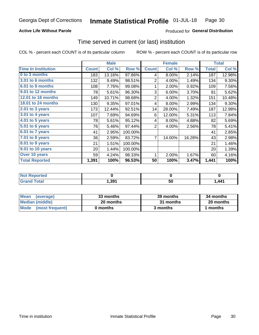## **Active Life Without Parole**

### Produced for General Distribution

## Time served in current (or last) institution

COL % - percent each COUNT is of its particular column

|                            |              | <b>Male</b> |         |                | <b>Female</b> |        |              | <b>Total</b> |
|----------------------------|--------------|-------------|---------|----------------|---------------|--------|--------------|--------------|
| <b>Time In Institution</b> | <b>Count</b> | Col %       | Row %   | <b>Count</b>   | Col %         | Row %  | <b>Total</b> | Col %        |
| 0 to 3 months              | 183          | 13.16%      | 97.86%  | 4              | 8.00%         | 2.14%  | 187          | 12.98%       |
| <b>3.01 to 6 months</b>    | 132          | 9.49%       | 98.51%  | 2              | 4.00%         | 1.49%  | 134          | 9.30%        |
| 6.01 to 9 months           | 108          | 7.76%       | 99.08%  | 1              | 2.00%         | 0.92%  | 109          | 7.56%        |
| 9.01 to 12 months          | 78           | 5.61%       | 96.30%  | 3              | 6.00%         | 3.70%  | 81           | 5.62%        |
| 12.01 to 18 months         | 149          | 10.71%      | 98.68%  | $\overline{2}$ | 4.00%         | 1.32%  | 151          | 10.48%       |
| <b>18.01 to 24 months</b>  | 130          | 9.35%       | 97.01%  | 4              | 8.00%         | 2.99%  | 134          | 9.30%        |
| $2.01$ to 3 years          | 173          | 12.44%      | 92.51%  | 14             | 28.00%        | 7.49%  | 187          | 12.98%       |
| $3.01$ to 4 years          | 107          | 7.69%       | 94.69%  | 6              | 12.00%        | 5.31%  | 113          | 7.84%        |
| $4.01$ to 5 years          | 78           | 5.61%       | 95.12%  | 4              | 8.00%         | 4.88%  | 82           | 5.69%        |
| 5.01 to 6 years            | 76           | 5.46%       | 97.44%  | 2              | 4.00%         | 2.56%  | 78           | 5.41%        |
| $6.01$ to 7 years          | 41           | 2.95%       | 100.00% |                |               |        | 41           | 2.85%        |
| 7.01 to 8 years            | 36           | 2.59%       | 83.72%  | 7              | 14.00%        | 16.28% | 43           | 2.98%        |
| 8.01 to 9 years            | 21           | 1.51%       | 100.00% |                |               |        | 21           | 1.46%        |
| 9.01 to 10 years           | 20           | 1.44%       | 100.00% |                |               |        | 20           | 1.39%        |
| Over 10 years              | 59           | 4.24%       | 98.33%  | 1              | 2.00%         | 1.67%  | 60           | 4.16%        |
| <b>Total Reported</b>      | 1,391        | 100%        | 96.53%  | 50             | 100%          | 3.47%  | 1,441        | 100%         |

| <b>Not Reported</b>  |       |    |            |
|----------------------|-------|----|------------|
| <b>Total</b><br>Gran | 1,391 | ວບ | <b>AA1</b> |

| <b>Mean</b><br>(average) | 33 months | 39 months | 34 months |
|--------------------------|-----------|-----------|-----------|
| Median (middle)          | 20 months | 31 months | 20 months |
| Mode (most frequent)     | 0 months  | 3 months  | ∣ months  |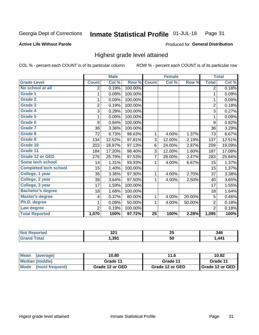#### Inmate Statistical Profile 01-JUL-18 Page 31

#### **Active Life Without Parole**

### Produced for General Distribution

## Highest grade level attained

COL % - percent each COUNT is of its particular column

|                              |                | <b>Male</b> |         |                 | <b>Female</b> |        |                | <b>Total</b> |
|------------------------------|----------------|-------------|---------|-----------------|---------------|--------|----------------|--------------|
| <b>Grade Level</b>           | <b>Count</b>   | Col %       | Row %   | <b>Count</b>    | Col %         | Row %  | <b>Total</b>   | Col %        |
| No school at all             | 2              | 0.19%       | 100.00% |                 |               |        | $\overline{2}$ | 0.18%        |
| <b>Grade 1</b>               | 1              | 0.09%       | 100.00% |                 |               |        | 1              | 0.09%        |
| <b>Grade 2</b>               | 1              | 0.09%       | 100.00% |                 |               |        | 1              | 0.09%        |
| Grade 3                      | $\overline{2}$ | 0.19%       | 100.00% |                 |               |        | $\overline{2}$ | 0.18%        |
| <b>Grade 4</b>               | 3              | 0.28%       | 100.00% |                 |               |        | 3              | 0.27%        |
| Grade 5                      | 1              | 0.09%       | 100.00% |                 |               |        | 1              | 0.09%        |
| Grade 6                      | 9              | 0.84%       | 100.00% |                 |               |        | 9              | 0.82%        |
| Grade 7                      | 36             | 3.36%       | 100.00% |                 |               |        | 36             | 3.29%        |
| Grade 8                      | 72             | 6.73%       | 98.63%  | 1               | 4.00%         | 1.37%  | 73             | 6.67%        |
| Grade 9                      | 134            | 12.52%      | 97.81%  | 3               | 12.00%        | 2.19%  | 137            | 12.51%       |
| Grade 10                     | 203            | 18.97%      | 97.13%  | 6               | 24.00%        | 2.87%  | 209            | 19.09%       |
| Grade 11                     | 184            | 17.20%      | 98.40%  | 3               | 12.00%        | 1.60%  | 187            | 17.08%       |
| <b>Grade 12 or GED</b>       | 276            | 25.79%      | 97.53%  | 7               | 28.00%        | 2.47%  | 283            | 25.84%       |
| <b>Some tech school</b>      | 14             | 1.31%       | 93.33%  | 1               | 4.00%         | 6.67%  | 15             | 1.37%        |
| <b>Completed tech school</b> | 15             | 1.40%       | 100.00% |                 |               |        | 15             | 1.37%        |
| College, 1 year              | 36             | 3.36%       | 97.30%  | 1               | 4.00%         | 2.70%  | 37             | 3.38%        |
| College, 2 year              | 39             | 3.64%       | 97.50%  | 1               | 4.00%         | 2.50%  | 40             | 3.65%        |
| College, 3 year              | 17             | 1.59%       | 100.00% |                 |               |        | 17             | 1.55%        |
| <b>Bachelor's degree</b>     | 18             | 1.68%       | 100.00% |                 |               |        | 18             | 1.64%        |
| <b>Master's degree</b>       | 4              | 0.37%       | 80.00%  | 1               | 4.00%         | 20.00% | 5              | 0.46%        |
| Ph.D. degree                 | 1              | 0.09%       | 50.00%  | 1               | 4.00%         | 50.00% | $\overline{2}$ | 0.18%        |
| Law degree                   | $\overline{2}$ | 0.19%       | 100.00% |                 |               |        | $\overline{2}$ | 0.18%        |
| <b>Total Reported</b>        | 1,070          | 100%        | 97.72%  | $\overline{25}$ | 100%          | 2.28%  | 1,095          | 100%         |

| <b>NO</b> | ה ה<br>JZ I | --<br>ZJ | 346                         |
|-----------|-------------|----------|-----------------------------|
|           | 1,391       | 50       | 441 <sup>-</sup><br>, , , , |

| <b>Mean</b><br>(average) | 10.80           | 11.6            | 10.82           |
|--------------------------|-----------------|-----------------|-----------------|
| Median (middle)          | Grade 11        | Grade 11        | Grade 11        |
| Mode<br>(most frequent)  | Grade 12 or GED | Grade 12 or GED | Grade 12 or GED |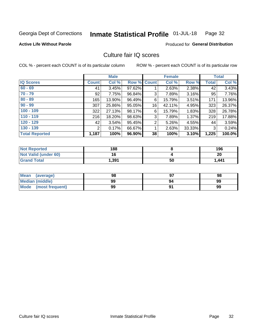#### Inmate Statistical Profile 01-JUL-18 Page 32

### **Active Life Without Parole**

### Produced for General Distribution

## Culture fair IQ scores

COL % - percent each COUNT is of its particular column

|                       |                | <b>Male</b> |        |              | <b>Female</b> |          |              | <b>Total</b> |
|-----------------------|----------------|-------------|--------|--------------|---------------|----------|--------------|--------------|
| <b>IQ Scores</b>      | <b>Count</b>   | Col %       | Row %  | <b>Count</b> | Col %         | Row %    | <b>Total</b> | Col %        |
| $60 - 69$             | 41             | 3.45%       | 97.62% |              | 2.63%         | 2.38%    | 42           | 3.43%        |
| $70 - 79$             | 92             | 7.75%       | 96.84% | 3            | 7.89%         | 3.16%    | 95           | 7.76%        |
| $80 - 89$             | 165            | $13.90\%$   | 96.49% | 6            | 15.79%        | $3.51\%$ | 171          | 13.96%       |
| $90 - 99$             | 307            | 25.86%      | 95.05% | 16           | 42.11%        | 4.95%    | 323          | 26.37%       |
| $100 - 109$           | 322            | 27.13%      | 98.17% | 6            | 15.79%        | 1.83%    | 328          | 26.78%       |
| $110 - 119$           | 216            | 18.20%      | 98.63% | 3            | 7.89%         | 1.37%    | 219          | 17.88%       |
| $120 - 129$           | 42             | 3.54%       | 95.45% | 2            | 5.26%         | 4.55%    | 44           | 3.59%        |
| $130 - 139$           | $\overline{2}$ | 0.17%       | 66.67% | 1            | 2.63%         | 33.33%   | 3            | 0.24%        |
| <b>Total Reported</b> | 1,187          | 100%        | 96.90% | 38           | 100%          | 3.10%    | 1,225        | 100.0%       |

| <b>Not Reported</b>  | 188   |    | 196   |
|----------------------|-------|----|-------|
| Not Valid (under 60) | 16    |    | 20    |
| <b>Grand Total</b>   | 1,391 | 50 | 1,441 |

| Mean<br>(average)      | 98 |    | 98 |
|------------------------|----|----|----|
| <b>Median (middle)</b> | 99 | 94 | 99 |
| Mode (most frequent)   | 99 |    | 99 |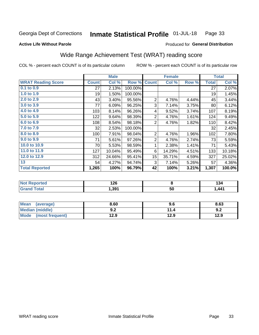#### Inmate Statistical Profile 01-JUL-18 Page 33

**Active Life Without Parole** 

### Produced for General Distribution

## Wide Range Achievement Test (WRAT) reading score

COL % - percent each COUNT is of its particular column

|                           |              | <b>Male</b> |         |                 | <b>Female</b> |       |              | <b>Total</b> |
|---------------------------|--------------|-------------|---------|-----------------|---------------|-------|--------------|--------------|
| <b>WRAT Reading Score</b> | <b>Count</b> | Col %       | Row %   | <b>Count</b>    | Col %         | Row % | <b>Total</b> | Col %        |
| $0.1$ to $0.9$            | 27           | 2.13%       | 100.00% |                 |               |       | 27           | 2.07%        |
| 1.0 to 1.9                | 19           | 1.50%       | 100.00% |                 |               |       | 19           | 1.45%        |
| 2.0 to 2.9                | 43           | 3.40%       | 95.56%  | $\overline{2}$  | 4.76%         | 4.44% | 45           | 3.44%        |
| 3.0 to 3.9                | 77           | 6.09%       | 96.25%  | 3               | 7.14%         | 3.75% | 80           | 6.12%        |
| 4.0 to 4.9                | 103          | 8.14%       | 96.26%  | 4               | 9.52%         | 3.74% | 107          | 8.19%        |
| 5.0 to 5.9                | 122          | 9.64%       | 98.39%  | $\overline{2}$  | 4.76%         | 1.61% | 124          | 9.49%        |
| 6.0 to 6.9                | 108          | 8.54%       | 98.18%  | 2               | 4.76%         | 1.82% | 110          | 8.42%        |
| 7.0 to 7.9                | 32           | 2.53%       | 100.00% |                 |               |       | 32           | 2.45%        |
| 8.0 to 8.9                | 100          | 7.91%       | 98.04%  | $\overline{2}$  | 4.76%         | 1.96% | 102          | 7.80%        |
| 9.0 to 9.9                | 71           | 5.61%       | 97.26%  | $\overline{2}$  | 4.76%         | 2.74% | 73           | 5.59%        |
| 10.0 to 10.9              | 70           | 5.53%       | 98.59%  | 1               | 2.38%         | 1.41% | 71           | 5.43%        |
| 11.0 to 11.9              | 127          | 10.04%      | 95.49%  | 6               | 14.29%        | 4.51% | 133          | 10.18%       |
| 12.0 to 12.9              | 312          | 24.66%      | 95.41%  | 15 <sub>2</sub> | 35.71%        | 4.59% | 327          | 25.02%       |
| 13                        | 54           | 4.27%       | 94.74%  | 3               | 7.14%         | 5.26% | 57           | 4.36%        |
| <b>Total Reported</b>     | 1,265        | 100%        | 96.79%  | 42              | 100%          | 3.21% | 1,307        | 100.0%       |
|                           |              |             |         |                 |               |       |              |              |

| <b>Not Reported</b>    | 126   |    | $\ddot{\phantom{1}}$<br>134 |
|------------------------|-------|----|-----------------------------|
| <b>Total</b><br>'Grand | 1,391 | 50 | 1,441                       |

| <b>Mean</b><br>(average) | 8.60       | 9.6  | 8.63 |
|--------------------------|------------|------|------|
| Median (middle)          | י ה<br>J.Z | 14   | 9.2  |
| Mode<br>(most frequent)  | 12.9       | 12.9 | 12.9 |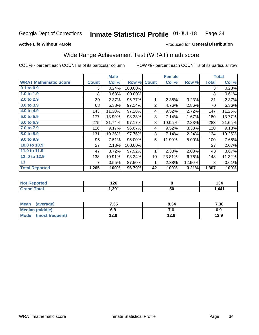#### Inmate Statistical Profile 01-JUL-18 Page 34

### **Active Life Without Parole**

## Produced for General Distribution

## Wide Range Achievement Test (WRAT) math score

COL % - percent each COUNT is of its particular column

| <b>WRAT Mathematic Score</b><br>0.1 to 0.9<br>1.0 to 1.9<br>2.0 to 2.9 | <b>Count</b><br>$3^{\circ}$<br>8 | Col %<br>0.24% | Row %<br>100.00% | <b>Count</b>    | Col %  | Row %  | <b>Total</b> | Col %  |
|------------------------------------------------------------------------|----------------------------------|----------------|------------------|-----------------|--------|--------|--------------|--------|
|                                                                        |                                  |                |                  |                 |        |        |              |        |
|                                                                        |                                  |                |                  |                 |        |        | 3            | 0.23%  |
|                                                                        |                                  | 0.63%          | 100.00%          |                 |        |        | 8            | 0.61%  |
|                                                                        | 30                               | 2.37%          | 96.77%           | 1               | 2.38%  | 3.23%  | 31           | 2.37%  |
| 3.0 to 3.9                                                             | 68                               | 5.38%          | 97.14%           | $\overline{2}$  | 4.76%  | 2.86%  | 70           | 5.36%  |
| 4.0 to 4.9                                                             | 143                              | 11.30%         | 97.28%           | 4               | 9.52%  | 2.72%  | 147          | 11.25% |
| 5.0 to 5.9                                                             | 177                              | 13.99%         | 98.33%           | 3               | 7.14%  | 1.67%  | 180          | 13.77% |
| 6.0 to 6.9                                                             | 275                              | 21.74%         | 97.17%           | 8               | 19.05% | 2.83%  | 283          | 21.65% |
| 7.0 to 7.9                                                             | 116                              | 9.17%          | 96.67%           | 4               | 9.52%  | 3.33%  | 120          | 9.18%  |
| 8.0 to 8.9                                                             | 131                              | 10.36%         | 97.76%           | 3               | 7.14%  | 2.24%  | 134          | 10.25% |
| 9.0 to 9.9                                                             | 95                               | 7.51%          | 95.00%           | 5               | 11.90% | 5.00%  | 100          | 7.65%  |
| 10.0 to 10.9                                                           | 27                               | 2.13%          | 100.00%          |                 |        |        | 27           | 2.07%  |
| 11.0 to 11.9                                                           | 47                               | 3.72%          | 97.92%           | 1               | 2.38%  | 2.08%  | 48           | 3.67%  |
| 12.0 to 12.9                                                           | 138                              | 10.91%         | 93.24%           | 10 <sup>1</sup> | 23.81% | 6.76%  | 148          | 11.32% |
| 13                                                                     | 7                                | 0.55%          | 87.50%           | 1               | 2.38%  | 12.50% | 8            | 0.61%  |
| <b>Total Reported</b>                                                  | 1,265                            | 100%           | 96.79%           | 42              | 100%   | 3.21%  | 1,307        | 100%   |

| <b>Not Reported</b> | 126   |    | 194             |
|---------------------|-------|----|-----------------|
| <b>Total</b>        | 391,ا | 50 | AA <sub>1</sub> |

| <b>Mean</b><br>(average) | 7.35 | 8.34 | 7.38 |
|--------------------------|------|------|------|
| <b>Median (middle)</b>   | 6.9  | 7. J | 6.9  |
| Mode (most frequent)     | 12.9 | 12.9 | 12.9 |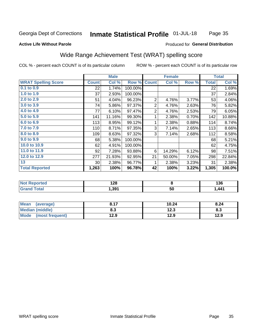#### Inmate Statistical Profile 01-JUL-18 Page 35

#### **Active Life Without Parole**

### Produced for General Distribution

## Wide Range Achievement Test (WRAT) spelling score

COL % - percent each COUNT is of its particular column

|                            |              | <b>Male</b> |         |                | <b>Female</b>           |       |              | <b>Total</b> |
|----------------------------|--------------|-------------|---------|----------------|-------------------------|-------|--------------|--------------|
| <b>WRAT Spelling Score</b> | <b>Count</b> | Col %       | Row %   | <b>Count</b>   | Col %                   | Row % | <b>Total</b> | Col %        |
| 0.1 to 0.9                 | 22           | 1.74%       | 100.00% |                |                         |       | 22           | 1.69%        |
| 1.0 to 1.9                 | 37           | 2.93%       | 100.00% |                |                         |       | 37           | 2.84%        |
| 2.0 to 2.9                 | 51           | 4.04%       | 96.23%  | $\overline{2}$ | 4.76%                   | 3.77% | 53           | 4.06%        |
| 3.0 to 3.9                 | 74           | 5.86%       | 97.37%  | 2              | 4.76%                   | 2.63% | 76           | 5.82%        |
| 4.0 to 4.9                 | 77           | 6.10%       | 97.47%  | $\overline{2}$ | 4.76%                   | 2.53% | 79           | 6.05%        |
| 5.0 to 5.9                 | 141          | 11.16%      | 99.30%  | 1              | 2.38%                   | 0.70% | 142          | 10.88%       |
| 6.0 to 6.9                 | 113          | 8.95%       | 99.12%  | 1              | 2.38%                   | 0.88% | 114          | 8.74%        |
| 7.0 to 7.9                 | 110          | 8.71%       | 97.35%  | 3              | 7.14%                   | 2.65% | 113          | 8.66%        |
| 8.0 to 8.9                 | 109          | 8.63%       | 97.32%  | 3              | 7.14%                   | 2.68% | 112          | 8.58%        |
| 9.0 to 9.9                 | 68           | 5.38%       | 100.00% |                |                         |       | 68           | 5.21%        |
| 10.0 to 10.9               | 62           | 4.91%       | 100.00% |                |                         |       | 62           | 4.75%        |
| 11.0 to $11.9$             | 92           | 7.28%       | 93.88%  | 6              | 14.29%                  | 6.12% | 98           | 7.51%        |
| 12.0 to 12.9               | 277          | 21.93%      | 92.95%  | 21             | 50.00%                  | 7.05% | 298          | 22.84%       |
| 13                         | 30           | 2.38%       | 96.77%  | 1              | 2.38%                   | 3.23% | 31           | 2.38%        |
| <b>Total Reported</b>      | 1,263        | 100%        | 96.78%  | 42             | 100%                    | 3.22% | 1,305        | 100.0%       |
|                            |              |             |         |                |                         |       |              |              |
| <b>Not Reported</b>        |              | 128         |         |                | $\overline{\mathbf{8}}$ |       |              | 136          |
| <b>Grand Total</b>         |              | 1,391       |         |                | $\overline{50}$         |       |              | 1,441        |

| <b>Mean</b><br>(average) | 8.17 | 10.24 | 8.24 |
|--------------------------|------|-------|------|
| Median (middle)          | ၓ.ა  | 12.3  | ი.ა  |
| Mode<br>(most frequent)  | 12.9 | 12.9  | 12.9 |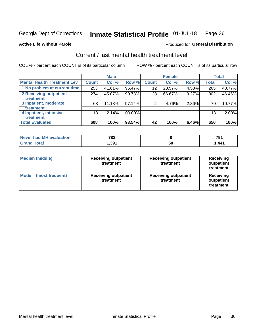#### Inmate Statistical Profile 01-JUL-18 Page 36

#### **Active Life Without Parole**

### **Produced for General Distribution**

## Current / last mental health treatment level

COL % - percent each COUNT is of its particular column

|                                    |              | <b>Male</b> |         |              | <b>Female</b> |       |                 | <b>Total</b> |
|------------------------------------|--------------|-------------|---------|--------------|---------------|-------|-----------------|--------------|
| <b>Mental Health Treatment Lev</b> | <b>Count</b> | Col %       | Row %   | <b>Count</b> | Col %         | Row % | <b>Total</b>    | Col %        |
| 1 No problem at current time       | 253          | 41.61%      | 95.47%  | 12           | 28.57%        | 4.53% | 265             | 40.77%       |
| 2 Receiving outpatient             | 274          | 45.07%      | 90.73%  | 28           | 66.67%        | 9.27% | 302             | 46.46%       |
| Treatment                          |              |             |         |              |               |       |                 |              |
| 3 Inpatient, moderate              | 68           | 11.18%      | 97.14%  | 2            | 4.76%         | 2.86% | 70              | 10.77%       |
| <b>Treatment</b>                   |              |             |         |              |               |       |                 |              |
| 4 Inpatient, intensive             | 13           | 2.14%       | 100.00% |              |               |       | 13 <sub>1</sub> | 2.00%        |
| Treatment                          |              |             |         |              |               |       |                 |              |
| <b>Total Evaluated</b>             | 608          | 100%        | 93.54%  | 42           | 100%          | 6.46% | 650             | 100%         |

| Never had MH evaluation | 783   |     | 70<br>ا ت  |
|-------------------------|-------|-----|------------|
|                         | 391.، | ่วเ | <b>AA1</b> |

| <b>Median (middle)</b>         | <b>Receiving outpatient</b><br>treatment | <b>Receiving outpatient</b><br>treatment | <b>Receiving</b><br>outpatient<br>treatment |  |
|--------------------------------|------------------------------------------|------------------------------------------|---------------------------------------------|--|
| <b>Mode</b><br>(most frequent) | <b>Receiving outpatient</b><br>treatment | <b>Receiving outpatient</b><br>treatment | <b>Receiving</b><br>outpatient<br>treatment |  |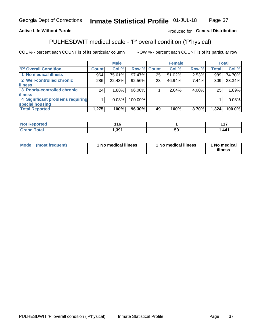#### Inmate Statistical Profile 01-JUL-18 Page 37

## **Active Life Without Parole**

### Produced for General Distribution

## PULHESDWIT medical scale - 'P' overall condition ('P'hysical)

COL % - percent each COUNT is of its particular column

|                                  |         | <b>Male</b> |             |    | <b>Female</b> |       |              | <b>Total</b> |
|----------------------------------|---------|-------------|-------------|----|---------------|-------|--------------|--------------|
| 'P' Overall Condition            | Count l | Col %       | Row % Count |    | Col %         | Row % | <b>Total</b> | Col %        |
| 1 No medical illness             | 964     | 75.61%      | 97.47%      | 25 | 51.02%        | 2.53% | 989          | 74.70%       |
| 2 Well-controlled chronic        | 286     | 22.43%      | 92.56%      | 23 | 46.94%        | 7.44% | 309          | 23.34%       |
| <b>illness</b>                   |         |             |             |    |               |       |              |              |
| 3 Poorly-controlled chronic      | 24      | 1.88%       | 96.00%      |    | 2.04%         | 4.00% | 25           | 1.89%        |
| <b>illness</b>                   |         |             |             |    |               |       |              |              |
| 4 Significant problems requiring |         | 0.08%       | 100.00%     |    |               |       |              | 0.08%        |
| special housing                  |         |             |             |    |               |       |              |              |
| <b>Total Reported</b>            | 1,275   | 100%        | 96.30%      | 49 | 100%          | 3.70% | 1,324        | 100.0%       |

|        | ו ט |    | .<br>4 A     |
|--------|-----|----|--------------|
| ______ | ,39 | วน | $\mathbf{A}$ |

| <b>Mode</b> | (most frequent) | 1 No medical illness | 1 No medical illness | 1 No medical<br>illness |
|-------------|-----------------|----------------------|----------------------|-------------------------|
|-------------|-----------------|----------------------|----------------------|-------------------------|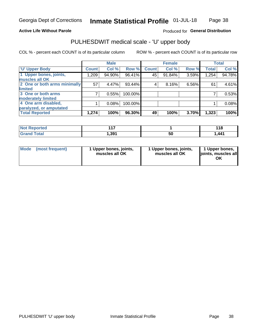### **Active Life Without Parole**

## Produced for General Distribution

## PULHESDWIT medical scale - 'U' upper body

COL % - percent each COUNT is of its particular column

|                              |              | <b>Male</b> |         |              | <b>Female</b> |       |              | <b>Total</b> |
|------------------------------|--------------|-------------|---------|--------------|---------------|-------|--------------|--------------|
| <b>'U' Upper Body</b>        | <b>Count</b> | Col %       | Row %   | <b>Count</b> | Col %         | Row % | <b>Total</b> | Col %        |
| 1 Upper bones, joints,       | 1,209        | 94.90%      | 96.41%  | 45           | 91.84%        | 3.59% | 1,254        | 94.78%       |
| muscles all OK               |              |             |         |              |               |       |              |              |
| 2 One or both arms minimally | 57           | 4.47%       | 93.44%  | 4            | 8.16%         | 6.56% | 61           | 4.61%        |
| limited                      |              |             |         |              |               |       |              |              |
| 3 One or both arms           | 7            | 0.55%       | 100.00% |              |               |       |              | 0.53%        |
| <b>moderately limited</b>    |              |             |         |              |               |       |              |              |
| 4 One arm disabled,          |              | 0.08%       | 100.00% |              |               |       |              | 0.08%        |
| paralyzed, or amputated      |              |             |         |              |               |       |              |              |
| <b>Total Reported</b>        | 1,274        | 100%        | 96.30%  | 49           | 100%          | 3.70% | 1,323        | 100%         |

| <b>Not Reported</b>      | 4 4 7<br>. |    | <b>440</b> |
|--------------------------|------------|----|------------|
| <b>Total</b><br>ا الله ا | ,391       | วบ | .441       |

| <b>Mode</b> | (most frequent) | l Upper bones, joints,<br>muscles all OK | 1 Upper bones, joints,<br>muscles all OK | 1 Upper bones,<br>ljoints, muscles all |
|-------------|-----------------|------------------------------------------|------------------------------------------|----------------------------------------|
|-------------|-----------------|------------------------------------------|------------------------------------------|----------------------------------------|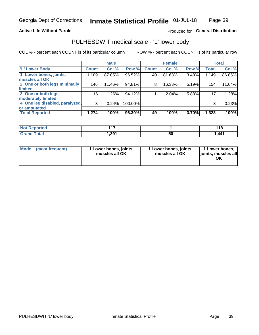### **Active Life Without Parole**

## Produced for General Distribution

## PULHESDWIT medical scale - 'L' lower body

COL % - percent each COUNT is of its particular column

|                                |                 | <b>Male</b> |         |              | <b>Female</b> |       |              | <b>Total</b> |
|--------------------------------|-----------------|-------------|---------|--------------|---------------|-------|--------------|--------------|
| 'L' Lower Body                 | <b>Count</b>    | Col %       | Row %   | <b>Count</b> | Col %         | Row % | <b>Total</b> | Col %        |
| 1 Lower bones, joints,         | 1,109           | 87.05%      | 96.52%  | 40           | 81.63%        | 3.48% | 1,149        | 86.85%       |
| muscles all OK                 |                 |             |         |              |               |       |              |              |
| 2 One or both legs minimally   | 146             | 11.46%      | 94.81%  | 8            | 16.33%        | 5.19% | 154          | 11.64%       |
| limited                        |                 |             |         |              |               |       |              |              |
| 3 One or both legs             | 16 <sub>1</sub> | 1.26%       | 94.12%  |              | 2.04%         | 5.88% | 17           | 1.28%        |
| moderately limited             |                 |             |         |              |               |       |              |              |
| 4 One leg disabled, paralyzed, | 3               | 0.24%       | 100.00% |              |               |       | 3            | 0.23%        |
| or amputated                   |                 |             |         |              |               |       |              |              |
| <b>Total Reported</b>          | 1,274           | 100%        | 96.30%  | 49           | 100%          | 3.70% | 1,323        | 100%         |

| <b>Not Reported</b>      | 4 4 7<br>. |    | <b>440</b> |
|--------------------------|------------|----|------------|
| <b>Total</b><br>ا الله ا | ,391       | วบ | .441       |

| Mode | (most frequent) | 1 Lower bones, joints,<br>muscles all OK | 1 Lower bones, joints,<br>muscles all OK | 1 Lower bones,<br>ljoints, muscles all<br>ΟK |
|------|-----------------|------------------------------------------|------------------------------------------|----------------------------------------------|
|------|-----------------|------------------------------------------|------------------------------------------|----------------------------------------------|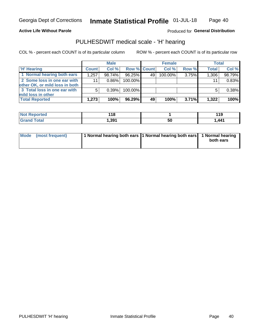### **Active Life Without Parole**

## Produced for General Distribution

## PULHESDWIT medical scale - 'H' hearing

COL % - percent each COUNT is of its particular column

|                                                               | <b>Male</b>  |        | <b>Female</b> |    |         | <b>Total</b> |              |        |
|---------------------------------------------------------------|--------------|--------|---------------|----|---------|--------------|--------------|--------|
| <b>'H' Hearing</b>                                            | <b>Count</b> | Col %  | Row % Count   |    | Col %   | Row %        | <b>Total</b> | Col %  |
| 1 Normal hearing both ears                                    | 1,257        | 98.74% | 96.25%        | 49 | 100.00% | 3.75%        | 1,306        | 98.79% |
| 2 Some loss in one ear with<br>other OK, or mild loss in both | 11           | 0.86%  | 100.00%       |    |         |              | 11           | 0.83%  |
| 3 Total loss in one ear with                                  | 5            | 0.39%  | 100.00%       |    |         |              |              | 0.38%  |
| mild loss in other<br><b>Total Reported</b>                   | 1,273        | 100%   | 96.29%        | 49 | 100%    | 3.71%        | 1,322        | 100%   |

| <b>Not</b>      | 18    |    | 1 4 C       |
|-----------------|-------|----|-------------|
| <b>Reported</b> | __    |    | <u> 1 J</u> |
| <b>Total</b>    | , 391 | 50 | 441.,       |

| Mode (most frequent) | 1 Normal hearing both ears 1 Normal hearing both ears 1 Normal hearing | both ears |
|----------------------|------------------------------------------------------------------------|-----------|
|                      |                                                                        |           |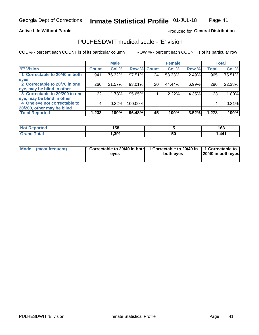### **Active Life Without Parole**

## Produced for General Distribution

## PULHESDWIT medical scale - 'E' vision

COL % - percent each COUNT is of its particular column

|                                |              | <b>Male</b> |             |    | <b>Female</b> |       |              | <b>Total</b> |
|--------------------------------|--------------|-------------|-------------|----|---------------|-------|--------------|--------------|
| <b>E' Vision</b>               | <b>Count</b> | Col %       | Row % Count |    | Col %         | Row % | <b>Total</b> | Col %        |
| 1 Correctable to 20/40 in both | 941          | 76.32%      | 97.51%      | 24 | 53.33%        | 2.49% | 965          | 75.51%       |
| eyes                           |              |             |             |    |               |       |              |              |
| 2 Correctable to 20/70 in one  | 266          | 21.57%      | 93.01%      | 20 | 44.44%        | 6.99% | 286          | 22.38%       |
| eye, may be blind in other     |              |             |             |    |               |       |              |              |
| 3 Correctable to 20/200 in one | 22           | 1.78%       | 95.65%      |    | 2.22%         | 4.35% | 23           | 1.80%        |
| eye, may be blind in other     |              |             |             |    |               |       |              |              |
| 4 One eye not correctable to   | 4            | 0.32%       | 100.00%     |    |               |       | 4            | 0.31%        |
| 20/200, other may be blind     |              |             |             |    |               |       |              |              |
| <b>Total Reported</b>          | 1,233        | 100%        | 96.48%      | 45 | 100%          | 3.52% | 1,278        | 100%         |

| <b>Not Reported</b> | 158  |    | 163  |
|---------------------|------|----|------|
| Total               | 391, | 50 | ,441 |

| Mode (most frequent) | 1 Correctable to 20/40 in both<br>eves | 1 Correctable to 20/40 in   1 Correctable to<br>both eves | 20/40 in both eyes |
|----------------------|----------------------------------------|-----------------------------------------------------------|--------------------|
|                      |                                        |                                                           |                    |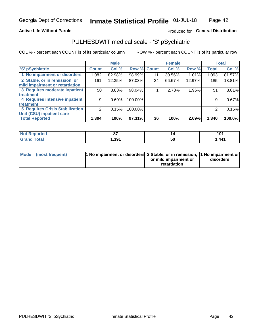### **Active Life Without Parole**

## Produced for General Distribution

## PULHESDWIT medical scale - 'S' pSychiatric

COL % - percent each COUNT is of its particular column

|                                        |              | <b>Male</b> |             |    | <b>Female</b> |        |              | <b>Total</b> |
|----------------------------------------|--------------|-------------|-------------|----|---------------|--------|--------------|--------------|
| 'S' pSychiatric                        | <b>Count</b> | Col %       | Row % Count |    | Col %         | Row %  | <b>Total</b> | Col %        |
| 1 No impairment or disorders           | 1,082        | 82.98%      | 98.99%      | 11 | 30.56%        | 1.01%  | 1,093        | 81.57%       |
| 2 Stable, or in remission, or          | 161          | 12.35%      | 87.03%      | 24 | 66.67%        | 12.97% | 185          | 13.81%       |
| mild impairment or retardation         |              |             |             |    |               |        |              |              |
| 3 Requires moderate inpatient          | 50           | 3.83%       | 98.04%      |    | 2.78%         | 1.96%  | 51           | 3.81%        |
| treatment                              |              |             |             |    |               |        |              |              |
| 4 Requires intensive inpatient         | 9            | 0.69%       | 100.00%     |    |               |        | 9            | 0.67%        |
| treatment                              |              |             |             |    |               |        |              |              |
| <b>5 Requires Crisis Stabilization</b> |              | 0.15%       | 100.00%     |    |               |        | 2            | 0.15%        |
| Unit (CSU) inpatient care              |              |             |             |    |               |        |              |              |
| <b>Total Reported</b>                  | 1,304        | 100%        | 97.31%      | 36 | 100%          | 2.69%  | 1,340        | 100.0%       |

| <b>Not Reported</b>  | $\sim$           | . . | $\sim$ |
|----------------------|------------------|-----|--------|
|                      | v,               |     | 1 V I  |
| <b>Total</b><br>Cron | .39 <sup>4</sup> | 50  | ,441   |

| Mode (most frequent) | <b>1 No impairment or disorders</b> 2 Stable, or in remission, 11 No impairment or |                       |           |
|----------------------|------------------------------------------------------------------------------------|-----------------------|-----------|
|                      |                                                                                    | or mild impairment or | disorders |
|                      |                                                                                    | retardation           |           |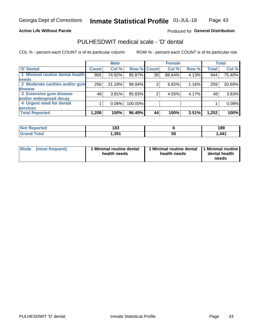### **Active Life Without Parole**

## Produced for General Distribution

## PULHESDWIT medical scale - 'D' dental

COL % - percent each COUNT is of its particular column

|                                 |              | <b>Male</b> |             |    | <b>Female</b> |       |              | <b>Total</b> |
|---------------------------------|--------------|-------------|-------------|----|---------------|-------|--------------|--------------|
| 'D' Dental                      | <b>Count</b> | Col %       | Row % Count |    | Col %         | Row % | <b>Total</b> | Col %        |
| 1 Minimal routine dental health | 905          | 74.92%      | 95.87%      | 39 | 88.64%        | 4.13% | 944          | 75.40%       |
| <b>needs</b>                    |              |             |             |    |               |       |              |              |
| 2 Moderate cavities and/or gum  | 256          | 21.19%      | 98.84%      | 3  | 6.82%         | 1.16% | 259          | 20.69%       |
| disease                         |              |             |             |    |               |       |              |              |
| 3 Extensive gum disease         | 46           | 3.81%       | 95.83%      |    | 4.55%         | 4.17% | 48           | 3.83%        |
| and/or widespread decay         |              |             |             |    |               |       |              |              |
| 4 Urgent need for dental        |              | 0.08%       | 100.00%     |    |               |       |              | 0.08%        |
| <b>services</b>                 |              |             |             |    |               |       |              |              |
| <b>Total Reported</b>           | 1,208        | 100%        | 96.49%      | 44 | 100%          | 3.51% | 1,252        | 100%         |

| <b>Not Reported</b> | 109<br>ده ا |    | 189  |
|---------------------|-------------|----|------|
| Total               | 391,        | ວເ | ,441 |

| <b>Mode</b> | (most frequent) | <b>Minimal routine dental</b><br>health needs | 1 Minimal routine dental<br>health needs | 1 Minimal routine<br>dental health<br>needs |
|-------------|-----------------|-----------------------------------------------|------------------------------------------|---------------------------------------------|
|-------------|-----------------|-----------------------------------------------|------------------------------------------|---------------------------------------------|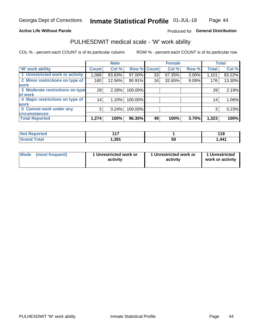### **Active Life Without Parole**

## Produced for General Distribution

## PULHESDWIT medical scale - 'W' work ability

COL % - percent each COUNT is of its particular column

|                                 |                    | <b>Male</b> |         |             | <b>Female</b> |       |                 | <b>Total</b> |
|---------------------------------|--------------------|-------------|---------|-------------|---------------|-------|-----------------|--------------|
| <b>W' work ability</b>          | Count <sup>'</sup> | Col %       |         | Row % Count | Col %         | Row % | <b>Total</b>    | Col %        |
| 1 Unrestricted work or activity | 1,068              | 83.83%      | 97.00%  | 33          | 67.35%        | 3.00% | 1,101           | 83.22%       |
| 2 Minor restrictions on type of | 160                | 12.56%      | 90.91%  | 16          | 32.65%        | 9.09% | 176             | 13.30%       |
| <b>work</b>                     |                    |             |         |             |               |       |                 |              |
| 3 Moderate restrictions on type | 29                 | 2.28%       | 100.00% |             |               |       | 29              | 2.19%        |
| lof work                        |                    |             |         |             |               |       |                 |              |
| 4 Major restrictions on type of | 14                 | 1.10%       | 100.00% |             |               |       | 14 <sub>1</sub> | 1.06%        |
| <b>work</b>                     |                    |             |         |             |               |       |                 |              |
| 5 Cannot work under any         | 3                  | 0.24%       | 100.00% |             |               |       | 3               | 0.23%        |
| <b>circumstances</b>            |                    |             |         |             |               |       |                 |              |
| <b>Total Reported</b>           | 1,274              | 100%        | 96.30%  | 49          | 100%          | 3.70% | 1,323           | 100%         |

| <b>Not Reported</b>  | 447   |    | 140<br><u> 1 1 0</u> |
|----------------------|-------|----|----------------------|
| <b>Total</b><br>Cron | 391,ا | วน | 1 <i>AA</i> 1        |

| <b>Mode</b>     | 1 Unrestricted work or | 1 Unrestricted work or | 1 Unrestricted   |
|-----------------|------------------------|------------------------|------------------|
| (most frequent) | activity               | activity               | work or activity |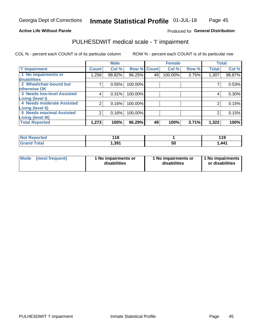### **Active Life Without Parole**

## Produced for General Distribution

## PULHESDWIT medical scale - 'I' impairment

COL % - percent each COUNT is of its particular column ROW % - percent each COUNT is of its particular row

|                                                              |              | <b>Male</b> |             |    | <b>Female</b> |       |              | <b>Total</b> |
|--------------------------------------------------------------|--------------|-------------|-------------|----|---------------|-------|--------------|--------------|
| <b>T' Impairment</b>                                         | <b>Count</b> | Col %       | Row % Count |    | Col %         | Row % | <b>Total</b> | Col %        |
| 1 No impairments or<br>disabilities                          | l,258        | 98.82%      | 96.25%      | 49 | 100.00%       | 3.75% | 1,307        | 98.87%       |
| 2 Wheelchair-bound but                                       |              | 0.55%       | 100.00%     |    |               |       |              | 0.53%        |
| otherwise OK<br><b>3 Needs low-level Assisted</b>            | 4            | 0.31%       | 100.00%     |    |               |       | 4            | 0.30%        |
| Living (level I)<br>4 Needs moderate Assisted                |              | 0.16%       | 100.00%     |    |               |       |              | 0.15%        |
| <b>Living (level II)</b>                                     |              |             |             |    |               |       |              |              |
| <b>5 Needs maximal Assisted</b><br><b>Living (level III)</b> | 2            | 0.16%       | 100.00%     |    |               |       | 2            | 0.15%        |
| <b>Total Reported</b>                                        | 1,273        | 100%        | 96.29%      | 49 | 100%          | 3.71% | 1,322        | 100%         |

| eported     | 440<br>. .<br>$\sim$ |    | 44 C<br>. |
|-------------|----------------------|----|-----------|
| <b>otal</b> | 1.391                | 50 | ,441      |

| <b>Mode</b> | (most frequent) | 1 No impairments or<br>disabilities | 1 No impairments or<br>disabilities | 1 No impairments<br>or disabilities |
|-------------|-----------------|-------------------------------------|-------------------------------------|-------------------------------------|
|-------------|-----------------|-------------------------------------|-------------------------------------|-------------------------------------|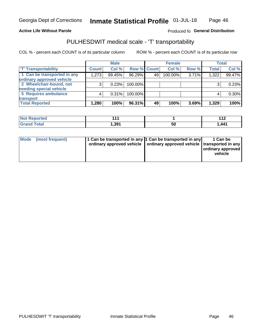### **Active Life Without Parole**

### Produced fo General Distribution

## PULHESDWIT medical scale - 'T' transportability

COL % - percent each COUNT is of its particular column

|                             |              | <b>Male</b> |             |    | <b>Female</b> |       |              | <b>Total</b> |
|-----------------------------|--------------|-------------|-------------|----|---------------|-------|--------------|--------------|
| <b>T' Transportability</b>  | <b>Count</b> | Col %       | Row % Count |    | Col %         | Row % | <b>Total</b> | Col %        |
| 1 Can be transported in any | 1,273        | 99.45%      | 96.29%      | 49 | 100.00%       | 3.71% | 1,322        | 99.47%       |
| ordinary approved vehicle   |              |             |             |    |               |       |              |              |
| 2 Wheelchair-bound, not     |              | 0.23%       | 100.00%     |    |               |       |              | 0.23%        |
| needing special vehicle     |              |             |             |    |               |       |              |              |
| 5 Requires ambulance        |              | 0.31%       | 100.00%     |    |               |       |              | $0.30\%$     |
| transport                   |              |             |             |    |               |       |              |              |
| <b>Total Reported</b>       | 1,280        | 100%        | 96.31%      | 49 | 100%          | 3.69% | 1,329        | 100%         |

| Reported     | 44    |    | 110<br>▏▎∠ |
|--------------|-------|----|------------|
| <b>Total</b> | 391.، | 50 | 441,ا      |

| Mode (most frequent) | 1 Can be transported in any 1 Can be transported in any | ordinary approved vehicle   ordinary approved vehicle   transported in any | 1 Can be<br>ordinary approved<br>vehicle |
|----------------------|---------------------------------------------------------|----------------------------------------------------------------------------|------------------------------------------|
|                      |                                                         |                                                                            |                                          |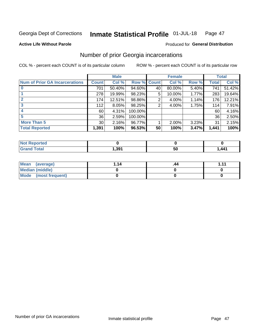#### Inmate Statistical Profile 01-JUL-18 Page 47

**Active Life Without Parole** 

### Produced for General Distribution

## Number of prior Georgia incarcerations

COL % - percent each COUNT is of its particular column

|                                       |                 | <b>Male</b> |                    |    | <b>Female</b> |       |       | <b>Total</b> |
|---------------------------------------|-----------------|-------------|--------------------|----|---------------|-------|-------|--------------|
| <b>Num of Prior GA Incarcerations</b> | <b>Count</b>    | Col %       | <b>Row % Count</b> |    | Col %         | Row % | Total | Col %        |
|                                       | 701             | 50.40%      | 94.60%             | 40 | 80.00%        | 5.40% | 741   | 51.42%       |
|                                       | 278             | 19.99%      | 98.23%             | 5  | 10.00%        | 1.77% | 283   | 19.64%       |
|                                       | 174             | 12.51%      | 98.86%             | 2  | 4.00%         | 1.14% | 176   | 12.21%       |
| 3                                     | 112             | 8.05%       | 98.25%             | 2  | 4.00%         | 1.75% | 114   | 7.91%        |
| 4                                     | 60              | 4.31%       | 100.00%            |    |               |       | 60    | 4.16%        |
| 5                                     | 36              | 2.59%       | 100.00%            |    |               |       | 36    | 2.50%        |
| <b>More Than 5</b>                    | 30 <sup>2</sup> | 2.16%       | 96.77%             |    | 2.00%         | 3.23% | 31    | 2.15%        |
| <b>Total Reported</b>                 | 1,391           | 100%        | 96.53%             | 50 | 100%          | 3.47% | 1,441 | 100%         |

| <b>orted</b><br>N               |     |    |        |
|---------------------------------|-----|----|--------|
| <b>otal</b><br>$\mathbf{v}$ and | 301 | 50 | 441. ا |

| Mean (average)       | 1.14 | .44 | 444 |
|----------------------|------|-----|-----|
| Median (middle)      |      |     |     |
| Mode (most frequent) |      |     |     |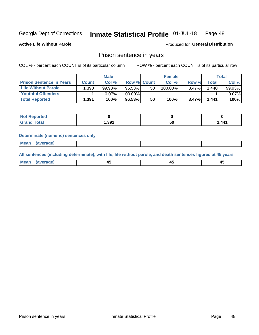#### Inmate Statistical Profile 01-JUL-18 Page 48

**Active Life Without Parole** 

Produced for General Distribution

## Prison sentence in years

COL % - percent each COUNT is of its particular column

ROW % - percent each COUNT is of its particular row

|                                 | <b>Male</b> |        |                    | <b>Female</b> |         |       | Total  |          |
|---------------------------------|-------------|--------|--------------------|---------------|---------|-------|--------|----------|
| <b>Prison Sentence In Years</b> | Count l     | Col %  | <b>Row % Count</b> |               | Col%    | Row % | Total  | Col %    |
| <b>Life Without Parole</b>      | .390        | 99.93% | 96.53%             | 50            | 100.00% | 3.47% | 1.4401 | 99.93%   |
| <b>Youthful Offenders</b>       |             | 0.07%  | 100.00%            |               |         |       |        | $0.07\%$ |
| <b>Total Reported</b>           | 1,391       | 100%   | 96.53%             | 50            | 100%    | 3.47% | 1,441  | 100%     |

| ported<br><b>NOT</b> |       |    |       |
|----------------------|-------|----|-------|
| <b>Total</b>         | 391,ا | วบ | 1,441 |

#### **Determinate (numeric) sentences only**

| Mean | (average)<br>----- |  |  |
|------|--------------------|--|--|
|      |                    |  |  |

All sentences (including determinate), with life, life without parole, and death sentences figured at 45 years

| Me: |  |  |  |
|-----|--|--|--|
|     |  |  |  |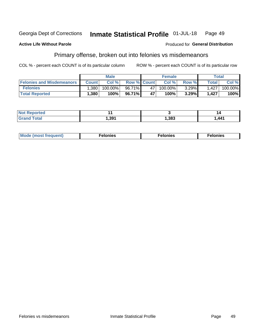#### Georgia Dept of Corrections Inmate Statistical Profile 01-JUL-18 Page 49

#### **Active Life Without Parole**

### Produced for General Distribution

## Primary offense, broken out into felonies vs misdemeanors

COL % - percent each COUNT is of its particular column

|                                  | <b>Male</b>  |         |                    | <b>Female</b> |            |          | Total        |         |
|----------------------------------|--------------|---------|--------------------|---------------|------------|----------|--------------|---------|
| <b>Felonies and Misdemeanors</b> | <b>Count</b> | Col%    | <b>Row % Count</b> |               | Col%       | Row %    | <b>Total</b> | Col %   |
| <b>Felonies</b>                  | .380         | 100.00% | 96.71%             | 47            | $100.00\%$ | $3.29\%$ | 1.427        | 100.00% |
| <b>Total Reported</b>            | ,380         | $100\%$ | 96.71%             | 47            | 100%       | 3.29%    | 1,427        | 100%    |

| <b>Not Reported</b>         |       |      |        |
|-----------------------------|-------|------|--------|
| <b>Total</b><br>Gran<br>uuu | 1,391 | ,383 | 441. ا |

| $Mc$<br>equent)<br>нез<br>$\sim$<br>. | onies<br>. | <b>onies</b><br>. |
|---------------------------------------|------------|-------------------|
|---------------------------------------|------------|-------------------|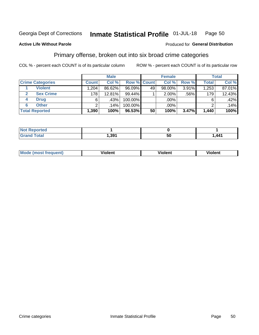#### Inmate Statistical Profile 01-JUL-18 Page 50

### **Active Life Without Parole**

## Produced for General Distribution

## Primary offense, broken out into six broad crime categories

COL % - percent each COUNT is of its particular column

|                         | <b>Male</b>  |        |           | <b>Female</b> |           |       | <b>Total</b> |        |
|-------------------------|--------------|--------|-----------|---------------|-----------|-------|--------------|--------|
| <b>Crime Categories</b> | <b>Count</b> | Col %  |           | Row % Count   | Col %     | Row % | <b>Total</b> | Col %  |
| <b>Violent</b>          | 1.204        | 86.62% | $96.09\%$ | 49            | $98.00\%$ | 3.91% | 1,253        | 87.01% |
| <b>Sex Crime</b>        | 178          | 12.81% | 99.44%    |               | $2.00\%$  | .56%  | 179          | 12.43% |
| <b>Drug</b><br>4        | 6            | .43%   | 100.00%   |               | .00%      |       | 6            | .42%   |
| <b>Other</b><br>6       | ົ            | .14%   | 100.00%   |               | .00%      |       |              | .14%   |
| <b>Total Reported</b>   | 1,390        | 100%   | 96.53%    | 50            | 100%      | 3.47% | 1,440        | 100%   |

| ∣ Not Reported |      |                       |
|----------------|------|-----------------------|
|                | ,391 | $\lambda$ $\lambda$ 1 |

| Mode (most frequent) | <br>∕iolent | Violent | Violent |
|----------------------|-------------|---------|---------|
|                      |             |         |         |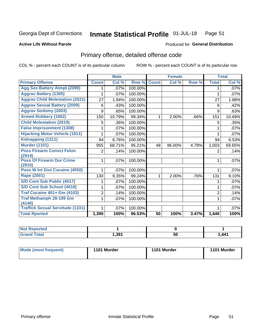#### Inmate Statistical Profile 01-JUL-18 Page 51

#### **Active Life Without Parole**

## **Produced for General Distribution**

## Primary offense, detailed offense code

COL % - percent each COUNT is of its particular column

|                                            |                | <b>Male</b>                |         |              | <b>Female</b> |       |                | <b>Total</b> |
|--------------------------------------------|----------------|----------------------------|---------|--------------|---------------|-------|----------------|--------------|
| <b>Primary Offense</b>                     | <b>Count</b>   | $\overline{\text{Col }^9}$ | Row %   | <b>Count</b> | Col %         | Row % | <b>Total</b>   | Col %        |
| <b>Agg Sex Battery Atmpt (2099)</b>        |                | .07%                       | 100.00% |              |               |       | 1              | .07%         |
| <b>Aggrav Battery (1305)</b>               | 1              | .07%                       | 100.00% |              |               |       | 1              | .07%         |
| <b>Aggrav Child Molestation (2021)</b>     | 27             | 1.94%                      | 100.00% |              |               |       | 27             | 1.88%        |
| <b>Aggrav Sexual Battery (2009)</b>        | 6              | .43%                       | 100.00% |              |               |       | 6              | .42%         |
| <b>Aggrav Sodomy (2003)</b>                | 9              | .65%                       | 100.00% |              |               |       | 9              | .63%         |
| <b>Armed Robbery (1902)</b>                | 150            | 10.79%                     | 99.34%  | 1            | 2.00%         | .66%  | 151            | 10.49%       |
| <b>Child Molestation (2019)</b>            | 5              | .36%                       | 100.00% |              |               |       | 5              | .35%         |
| <b>False Imprisonment (1308)</b>           |                | .07%                       | 100.00% |              |               |       |                | .07%         |
| <b>Hijacking Motor Vehicle (1911)</b>      |                | .07%                       | 100.00% |              |               |       |                | .07%         |
| Kidnapping (1311)                          | 94             | 6.76%                      | 100.00% |              |               |       | 94             | 6.53%        |
| <b>Murder (1101)</b>                       | 955            | 68.71%                     | 95.21%  | 48           | 96.00%        | 4.79% | 1,003          | 69.65%       |
| <b>Poss Firearm Convct Felon</b>           | 2              | .14%                       | 100.00% |              |               |       | 2              | .14%         |
| (2914)                                     |                |                            |         |              |               |       |                |              |
| <b>Poss Of Firearm Dur Crime</b><br>(2910) |                | .07%                       | 100.00% |              |               |       | 1              | .07%         |
| Poss W Int Dist Cocaine (4050)             |                | .07%                       | 100.00% |              |               |       |                | .07%         |
| Rape (2001)                                | 130            | 9.35%                      | 99.24%  |              | 2.00%         | .76%  | 131            | 9.10%        |
| S/D Cont Sub Public (4017)                 |                | .07%                       | 100.00% |              |               |       |                | .07%         |
| S/D Cont Sub School (4018)                 | 1              | .07%                       | 100.00% |              |               |       | 1              | .07%         |
| <b>Traf Cocaine 401+ Gm (4103)</b>         | $\overline{2}$ | .14%                       | 100.00% |              |               |       | $\overline{2}$ | .14%         |
| <b>Traf Methamph 28-199 Gm</b>             | 1              | .07%                       | 100.00% |              |               |       | 1              | .07%         |
| (4140)                                     |                |                            |         |              |               |       |                |              |
| <b>Traffick Sexual Servitude (1331)</b>    | 1              | .07%                       | 100.00% |              |               |       |                | .07%         |
| <b>Total Rported</b>                       | 1,390          | 100%                       | 96.53%  | 50           | 100%          | 3.47% | 1,440          | 100%         |

| <b>Reported</b><br><b>NOT</b> |       |    |       |
|-------------------------------|-------|----|-------|
| <b>Total</b>                  | , 391 | 50 | 1,441 |

| Mode (most frequent) | 1101 Murder | 1101 Murder | 1101 Murder |
|----------------------|-------------|-------------|-------------|
|                      |             |             |             |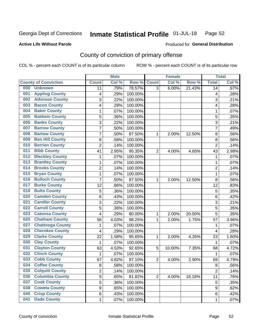#### Inmate Statistical Profile 01-JUL-18 Page 52

### **Active Life Without Parole**

### Produced for General Distribution

## County of conviction of primary offense

COL % - percent each COUNT is of its particular column

|     |                             |                | <b>Male</b> |         |                | <b>Female</b> |        |                | <b>Total</b> |
|-----|-----------------------------|----------------|-------------|---------|----------------|---------------|--------|----------------|--------------|
|     | <b>County of Conviction</b> | <b>Count</b>   | Col %       | Row %   | <b>Count</b>   | Col %         | Row %  | <b>Total</b>   | Col %        |
| 000 | <b>Unknown</b>              | 11             | .79%        | 78.57%  | $\overline{3}$ | 6.00%         | 21.43% | 14             | $.97\%$      |
| 001 | <b>Appling County</b>       | 4              | .29%        | 100.00% |                |               |        | 4              | .28%         |
| 002 | <b>Atkinson County</b>      | 3              | .22%        | 100.00% |                |               |        | 3              | .21%         |
| 003 | <b>Bacon County</b>         | 4              | .29%        | 100.00% |                |               |        | 4              | .28%         |
| 004 | <b>Baker County</b>         | 1              | .07%        | 100.00% |                |               |        | 1              | .07%         |
| 005 | <b>Baldwin County</b>       | 5              | .36%        | 100.00% |                |               |        | 5              | .35%         |
| 006 | <b>Banks County</b>         | 3              | .22%        | 100.00% |                |               |        | 3              | .21%         |
| 007 | <b>Barrow County</b>        | $\overline{7}$ | .50%        | 100.00% |                |               |        | 7              | .49%         |
| 008 | <b>Bartow County</b>        | 7              | .50%        | 87.50%  | 1              | 2.00%         | 12.50% | 8              | .56%         |
| 009 | <b>Ben Hill County</b>      | 8              | .58%        | 100.00% |                |               |        | 8              | .56%         |
| 010 | <b>Berrien County</b>       | $\overline{c}$ | .14%        | 100.00% |                |               |        | $\overline{2}$ | .14%         |
| 011 | <b>Bibb County</b>          | 41             | 2.95%       | 95.35%  | $\overline{2}$ | 4.00%         | 4.65%  | 43             | 2.98%        |
| 012 | <b>Bleckley County</b>      | $\mathbf{1}$   | .07%        | 100.00% |                |               |        | $\mathbf{1}$   | .07%         |
| 013 | <b>Brantley County</b>      | $\mathbf{1}$   | .07%        | 100.00% |                |               |        | $\mathbf{1}$   | .07%         |
| 014 | <b>Brooks County</b>        | $\overline{c}$ | .14%        | 100.00% |                |               |        | $\overline{2}$ | .14%         |
| 015 | <b>Bryan County</b>         | 1              | .07%        | 100.00% |                |               |        | $\mathbf{1}$   | .07%         |
| 016 | <b>Bulloch County</b>       | 7              | .50%        | 87.50%  | 1              | 2.00%         | 12.50% | 8              | .56%         |
| 017 | <b>Burke County</b>         | 12             | .86%        | 100.00% |                |               |        | 12             | .83%         |
| 018 | <b>Butts County</b>         | 5              | .36%        | 100.00% |                |               |        | 5              | .35%         |
| 020 | <b>Camden County</b>        | 6              | .43%        | 100.00% |                |               |        | 6              | .42%         |
| 021 | <b>Candler County</b>       | 3              | .22%        | 100.00% |                |               |        | 3              | .21%         |
| 022 | <b>Carroll County</b>       | 5              | .36%        | 100.00% |                |               |        | 5              | .35%         |
| 023 | <b>Catoosa County</b>       | $\overline{4}$ | .29%        | 80.00%  | 1              | 2.00%         | 20.00% | 5              | .35%         |
| 025 | <b>Chatham County</b>       | 56             | 4.03%       | 98.25%  | 1              | 2.00%         | 1.75%  | 57             | 3.96%        |
| 027 | <b>Chattooga County</b>     | $\mathbf{1}$   | .07%        | 100.00% |                |               |        | 1              | .07%         |
| 028 | <b>Cherokee County</b>      | 4              | .29%        | 100.00% |                |               |        | 4              | .28%         |
| 029 | <b>Clarke County</b>        | 22             | 1.58%       | 95.65%  | 1              | 2.00%         | 4.35%  | 23             | 1.60%        |
| 030 | <b>Clay County</b>          | 1              | .07%        | 100.00% |                |               |        | 1              | .07%         |
| 031 | <b>Clayton County</b>       | 63             | 4.53%       | 92.65%  | 5              | 10.00%        | 7.35%  | 68             | 4.72%        |
| 032 | <b>Clinch County</b>        | $\mathbf{1}$   | .07%        | 100.00% |                |               |        | $\mathbf{1}$   | .07%         |
| 033 | <b>Cobb County</b>          | 67             | 4.82%       | 97.10%  | $\overline{2}$ | 4.00%         | 2.90%  | 69             | 4.79%        |
| 034 | <b>Coffee County</b>        | 8              | .58%        | 100.00% |                |               |        | 8              | .56%         |
| 035 | <b>Colquitt County</b>      | 2              | .14%        | 100.00% |                |               |        | $\overline{2}$ | .14%         |
| 036 | <b>Columbia County</b>      | 9              | .65%        | 81.82%  | $\overline{2}$ | 4.00%         | 18.18% | 11             | .76%         |
| 037 | <b>Cook County</b>          | 5              | .36%        | 100.00% |                |               |        | 5              | .35%         |
| 038 | <b>Coweta County</b>        | 9              | .65%        | 100.00% |                |               |        | 9              | .62%         |
| 040 | <b>Crisp County</b>         | 6              | .43%        | 100.00% |                |               |        | 6              | .42%         |
| 041 | <b>Dade County</b>          | 1              | .07%        | 100.00% |                |               |        | 1              | .07%         |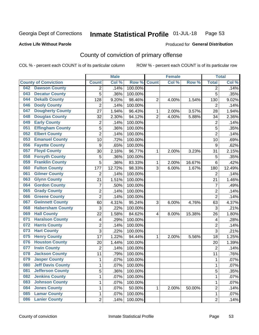#### Inmate Statistical Profile 01-JUL-18 Page 53

### **Active Life Without Parole**

### Produced for General Distribution

## County of conviction of primary offense

COL % - percent each COUNT is of its particular column

|                                 |                  | <b>Male</b> |         |                | <b>Female</b> |        |                | <b>Total</b> |
|---------------------------------|------------------|-------------|---------|----------------|---------------|--------|----------------|--------------|
| <b>County of Conviction</b>     | <b>Count</b>     | Col %       | Row %   | <b>Count</b>   | Col %         | Row %  | <b>Total</b>   | Col %        |
| <b>Dawson County</b><br>042     | 2                | .14%        | 100.00% |                |               |        | 2              | .14%         |
| <b>Decatur County</b><br>043    | 5                | .36%        | 100.00% |                |               |        | 5              | .35%         |
| <b>Dekalb County</b><br>044     | 128              | 9.20%       | 98.46%  | $\overline{2}$ | 4.00%         | 1.54%  | 130            | 9.02%        |
| <b>Dooly County</b><br>046      | $\overline{2}$   | .14%        | 100.00% |                |               |        | 2              | .14%         |
| <b>Dougherty County</b><br>047  | 27               | 1.94%       | 96.43%  | 1              | 2.00%         | 3.57%  | 28             | 1.94%        |
| <b>Douglas County</b><br>048    | 32               | 2.30%       | 94.12%  | $\overline{2}$ | 4.00%         | 5.88%  | 34             | 2.36%        |
| <b>Early County</b><br>049      | $\overline{c}$   | .14%        | 100.00% |                |               |        | $\overline{2}$ | .14%         |
| <b>Effingham County</b><br>051  | 5                | .36%        | 100.00% |                |               |        | 5              | .35%         |
| <b>Elbert County</b><br>052     | $\overline{2}$   | .14%        | 100.00% |                |               |        | $\overline{2}$ | .14%         |
| <b>Emanuel County</b><br>053    | 10               | .72%        | 100.00% |                |               |        | 10             | .69%         |
| <b>Fayette County</b><br>056    | $\boldsymbol{9}$ | .65%        | 100.00% |                |               |        | 9              | .62%         |
| <b>Floyd County</b><br>057      | 30               | 2.16%       | 96.77%  | 1              | 2.00%         | 3.23%  | 31             | 2.15%        |
| <b>Forsyth County</b><br>058    | 5                | .36%        | 100.00% |                |               |        | 5              | .35%         |
| <b>Franklin County</b><br>059   | 5                | .36%        | 83.33%  | 1              | 2.00%         | 16.67% | 6              | .42%         |
| <b>Fulton County</b><br>060     | 177              | 12.72%      | 98.33%  | 3              | 6.00%         | 1.67%  | 180            | 12.49%       |
| <b>Gilmer County</b><br>061     | $\overline{2}$   | .14%        | 100.00% |                |               |        | $\overline{2}$ | .14%         |
| <b>Glynn County</b><br>063      | 21               | 1.51%       | 100.00% |                |               |        | 21             | 1.46%        |
| <b>Gordon County</b><br>064     | 7                | .50%        | 100.00% |                |               |        | $\overline{7}$ | .49%         |
| <b>Grady County</b><br>065      | $\overline{2}$   | .14%        | 100.00% |                |               |        | $\overline{2}$ | .14%         |
| <b>Greene County</b><br>066     | $\overline{2}$   | .14%        | 100.00% |                |               |        | $\overline{2}$ | .14%         |
| <b>Gwinnett County</b><br>067   | 60               | 4.31%       | 95.24%  | 3              | 6.00%         | 4.76%  | 63             | 4.37%        |
| <b>Habersham County</b><br>068  | 3                | .22%        | 100.00% |                |               |        | 3              | .21%         |
| <b>Hall County</b><br>069       | 22               | 1.58%       | 84.62%  | 4              | 8.00%         | 15.38% | 26             | 1.80%        |
| <b>Haralson County</b><br>071   | 4                | .29%        | 100.00% |                |               |        | 4              | .28%         |
| <b>Harris County</b><br>072     | 2                | .14%        | 100.00% |                |               |        | $\overline{2}$ | .14%         |
| <b>Hart County</b><br>073       | 3                | .22%        | 100.00% |                |               |        | 3              | .21%         |
| <b>Henry County</b><br>075      | 17               | 1.22%       | 94.44%  | 1              | 2.00%         | 5.56%  | 18             | 1.25%        |
| <b>Houston County</b><br>076    | 20               | 1.44%       | 100.00% |                |               |        | 20             | 1.39%        |
| <b>Irwin County</b><br>077      | $\overline{2}$   | .14%        | 100.00% |                |               |        | $\overline{2}$ | .14%         |
| <b>Jackson County</b><br>078    | 11               | .79%        | 100.00% |                |               |        | 11             | .76%         |
| <b>Jasper County</b><br>079     | $\mathbf{1}$     | .07%        | 100.00% |                |               |        | 1              | .07%         |
| <b>Jeff Davis County</b><br>080 | 1                | .07%        | 100.00% |                |               |        | 1              | $.07\%$      |
| <b>Jefferson County</b><br>081  | 5                | .36%        | 100.00% |                |               |        | 5              | .35%         |
| <b>Jenkins County</b><br>082    | 1                | .07%        | 100.00% |                |               |        | $\mathbf 1$    | .07%         |
| <b>Johnson County</b><br>083    | 1                | .07%        | 100.00% |                |               |        | 1              | .07%         |
| <b>Jones County</b><br>084      | 1                | .07%        | 50.00%  | 1              | 2.00%         | 50.00% | $\overline{2}$ | .14%         |
| <b>Lamar County</b><br>085      | 1                | .07%        | 100.00% |                |               |        | $\mathbf 1$    | .07%         |
| <b>Lanier County</b><br>086     | $\overline{2}$   | .14%        | 100.00% |                |               |        | $\overline{2}$ | .14%         |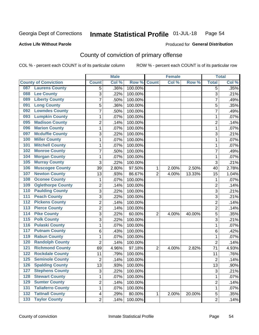#### Inmate Statistical Profile 01-JUL-18 Page 54

### **Active Life Without Parole**

### **Produced for General Distribution**

## County of conviction of primary offense

COL % - percent each COUNT is of its particular column

|                                           |                | <b>Male</b> |         |                | <b>Female</b> |        |                | <b>Total</b> |
|-------------------------------------------|----------------|-------------|---------|----------------|---------------|--------|----------------|--------------|
| <b>County of Conviction</b>               | <b>Count</b>   | Col %       | Row %   | <b>Count</b>   | Col %         | Row %  | <b>Total</b>   | Col %        |
| <b>Laurens County</b><br>087              | 5              | .36%        | 100.00% |                |               |        | 5              | .35%         |
| <b>Lee County</b><br>088                  | 3              | .22%        | 100.00% |                |               |        | 3              | .21%         |
| <b>Liberty County</b><br>089              | 7              | .50%        | 100.00% |                |               |        | $\overline{7}$ | .49%         |
| <b>Long County</b><br>091                 | 5              | .36%        | 100.00% |                |               |        | 5              | .35%         |
| <b>Lowndes County</b><br>092              | 7              | .50%        | 100.00% |                |               |        | $\overline{7}$ | .49%         |
| <b>Lumpkin County</b><br>093              | 1              | .07%        | 100.00% |                |               |        | $\mathbf{1}$   | .07%         |
| <b>Madison County</b><br>095              | $\overline{c}$ | .14%        | 100.00% |                |               |        | $\overline{2}$ | .14%         |
| <b>Marion County</b><br>096               | 1              | .07%        | 100.00% |                |               |        | $\mathbf{1}$   | .07%         |
| <b>Mcduffie County</b><br>097             | 3              | .22%        | 100.00% |                |               |        | 3              | .21%         |
| <b>Miller County</b><br>100               | 1              | .07%        | 100.00% |                |               |        | $\mathbf{1}$   | .07%         |
| <b>Mitchell County</b><br>101             | 1              | .07%        | 100.00% |                |               |        | $\mathbf{1}$   | .07%         |
| <b>Monroe County</b><br>102               | 7              | .50%        | 100.00% |                |               |        | 7              | .49%         |
| <b>Morgan County</b><br>104               | 1              | .07%        | 100.00% |                |               |        | $\mathbf{1}$   | .07%         |
| 105<br><b>Murray County</b>               | 3              | .22%        | 100.00% |                |               |        | 3              | .21%         |
| <b>Muscogee County</b><br>106             | 39             | 2.80%       | 97.50%  | 1              | 2.00%         | 2.50%  | 40             | 2.78%        |
| <b>Newton County</b><br>107               | 13             | .93%        | 86.67%  | $\overline{2}$ | 4.00%         | 13.33% | 15             | 1.04%        |
| <b>Oconee County</b><br>108               | 1              | .07%        | 100.00% |                |               |        | 1              | .07%         |
| <b>Oglethorpe County</b><br>109           | 2              | .14%        | 100.00% |                |               |        | $\overline{2}$ | .14%         |
| <b>Paulding County</b><br>110             | 3              | .22%        | 100.00% |                |               |        | 3              | .21%         |
| <b>Peach County</b><br>111                | $\overline{3}$ | .22%        | 100.00% |                |               |        | $\overline{3}$ | .21%         |
| <b>Pickens County</b><br>$\overline{112}$ | 2              | .14%        | 100.00% |                |               |        | $\overline{2}$ | .14%         |
| <b>Pierce County</b><br>113               | $\overline{2}$ | .14%        | 100.00% |                |               |        | $\overline{2}$ | .14%         |
| <b>Pike County</b><br>$\overline{114}$    | 3              | .22%        | 60.00%  | $\overline{2}$ | 4.00%         | 40.00% | 5              | .35%         |
| 115<br><b>Polk County</b>                 | 3              | .22%        | 100.00% |                |               |        | 3              | .21%         |
| <b>Pulaski County</b><br>116              | 1              | .07%        | 100.00% |                |               |        | $\mathbf{1}$   | .07%         |
| <b>Putnam County</b><br>117               | 6              | .43%        | 100.00% |                |               |        | 6              | .42%         |
| <b>Rabun County</b><br>119                | 1              | .07%        | 100.00% |                |               |        | 1              | .07%         |
| <b>Randolph County</b><br>120             | $\overline{2}$ | .14%        | 100.00% |                |               |        | $\overline{2}$ | .14%         |
| <b>Richmond County</b><br>121             | 69             | 4.96%       | 97.18%  | $\overline{2}$ | 4.00%         | 2.82%  | 71             | 4.93%        |
| <b>Rockdale County</b><br>122             | 11             | .79%        | 100.00% |                |               |        | 11             | .76%         |
| <b>Seminole County</b><br>125             | 2              | .14%        | 100.00% |                |               |        | $\overline{2}$ | .14%         |
| 126<br><b>Spalding County</b>             | 13             | .93%        | 100.00% |                |               |        | 13             | .90%         |
| <b>Stephens County</b><br>127             | 3              | .22%        | 100.00% |                |               |        | 3              | .21%         |
| <b>Stewart County</b><br>128              | 1              | .07%        | 100.00% |                |               |        | $\mathbf{1}$   | .07%         |
| <b>Sumter County</b><br>129               | $\overline{c}$ | .14%        | 100.00% |                |               |        | $\overline{c}$ | .14%         |
| <b>Taliaferro County</b><br>131           | 1              | .07%        | 100.00% |                |               |        | $\mathbf{1}$   | .07%         |
| <b>Tattnall County</b><br>132             | 4              | .29%        | 80.00%  | 1              | 2.00%         | 20.00% | 5              | .35%         |
| <b>Taylor County</b><br>$\overline{133}$  | $\overline{2}$ | .14%        | 100.00% |                |               |        | $\overline{2}$ | .14%         |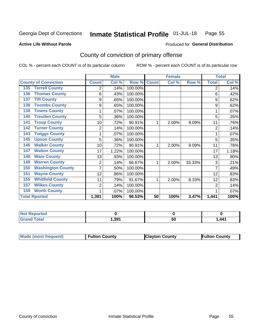#### Inmate Statistical Profile 01-JUL-18 Page 55

**Active Life Without Parole** 

**Produced for General Distribution** 

## County of conviction of primary offense

COL % - percent each COUNT is of its particular column

|                                 |                | <b>Male</b>               |         |              | <b>Female</b> |        |                | <b>Total</b> |
|---------------------------------|----------------|---------------------------|---------|--------------|---------------|--------|----------------|--------------|
| <b>County of Conviction</b>     | <b>Count</b>   | $\overline{\text{Col}}$ % | Row %   | <b>Count</b> | Col %         | Row %  | <b>Total</b>   | Col %        |
| <b>Terrell County</b><br>135    | 2              | .14%                      | 100.00% |              |               |        | 2              | .14%         |
| <b>Thomas County</b><br>136     | 6              | .43%                      | 100.00% |              |               |        | 6              | .42%         |
| <b>Tift County</b><br>137       | 9              | .65%                      | 100.00% |              |               |        | 9              | .62%         |
| <b>Toombs County</b><br>138     | 9              | .65%                      | 100.00% |              |               |        | 9              | .62%         |
| <b>Towns County</b><br>139      |                | .07%                      | 100.00% |              |               |        |                | .07%         |
| <b>Treutlen County</b><br>140   | 5              | .36%                      | 100.00% |              |               |        | 5              | .35%         |
| <b>Troup County</b><br>141      | 10             | .72%                      | 90.91%  | 1            | 2.00%         | 9.09%  | 11             | .76%         |
| <b>Turner County</b><br>142     | $\overline{2}$ | .14%                      | 100.00% |              |               |        | $\overline{2}$ | .14%         |
| <b>Twiggs County</b><br>143     |                | .07%                      | 100.00% |              |               |        |                | .07%         |
| <b>Upson County</b><br>145      | 5              | .36%                      | 100.00% |              |               |        | 5              | .35%         |
| <b>Walker County</b><br>146     | 10             | .72%                      | 90.91%  | 1            | 2.00%         | 9.09%  | 11             | .76%         |
| <b>Walton County</b><br>147     | 17             | 1.22%                     | 100.00% |              |               |        | 17             | 1.18%        |
| <b>Ware County</b><br>148       | 13             | .93%                      | 100.00% |              |               |        | 13             | .90%         |
| <b>Warren County</b><br>149     | 2              | .14%                      | 66.67%  | 1            | 2.00%         | 33.33% | 3              | .21%         |
| <b>Washington County</b><br>150 |                | .50%                      | 100.00% |              |               |        | 7              | .49%         |
| <b>Wayne County</b><br>151      | 12             | .86%                      | 100.00% |              |               |        | 12             | .83%         |
| <b>Whitfield County</b><br>155  | 11             | .79%                      | 91.67%  | 1            | 2.00%         | 8.33%  | 12             | .83%         |
| <b>Wilkes County</b><br>157     | 2              | .14%                      | 100.00% |              |               |        | $\overline{2}$ | .14%         |
| <b>Worth County</b><br>159      | 1              | .07%                      | 100.00% |              |               |        |                | .07%         |
| <b>Total Rported</b>            | 1,391          | 100%                      | 96.53%  | 50           | 100%          | 3.47%  | 1,441          | 100%         |

| onceo                                  |      |    |       |
|----------------------------------------|------|----|-------|
| $\mathbf{r}$ and $\mathbf{r}$<br>_____ | .391 | 50 | l 441 |

| Mode (most frequent) | <b>Fulton County</b> | <b>Clayton County</b> | <b>Fulton County</b> |
|----------------------|----------------------|-----------------------|----------------------|
|                      |                      |                       |                      |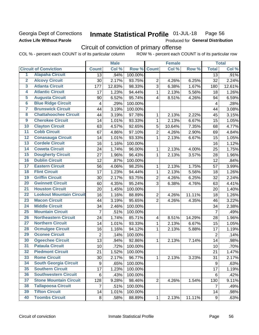## Georgia Dept of Corrections **Active Life Without Parole**

#### Inmate Statistical Profile 01-JUL-18 Page 56

Produced for General Distribution

## Circuit of conviction of primary offense

COL % - percent each COUNT is of its particular column ROW % - percent each COUNT is of its particular row

|                         |                                 | <b>Male</b>             |        | <b>Female</b> |                         |        | <b>Total</b> |                         |        |
|-------------------------|---------------------------------|-------------------------|--------|---------------|-------------------------|--------|--------------|-------------------------|--------|
|                         | <b>Circuit of Conviction</b>    | <b>Count</b>            | Col %  | Row %         | <b>Count</b>            | Col %  | Row %        | <b>Total</b>            | Col %  |
| 1                       | <b>Alapaha Circuit</b>          | 13                      | .94%   | 100.00%       |                         |        |              | 13                      | .91%   |
| $\overline{2}$          | <b>Alcovy Circuit</b>           | 30                      | 2.17%  | 93.75%        | $\overline{2}$          | 4.26%  | 6.25%        | 32                      | 2.24%  |
| $\overline{\mathbf{3}}$ | <b>Atlanta Circuit</b>          | 177                     | 12.83% | 98.33%        | 3                       | 6.38%  | 1.67%        | 180                     | 12.61% |
| 4                       | <b>Atlantic Circuit</b>         | 17                      | 1.23%  | 94.44%        | $\mathbf{1}$            | 2.13%  | 5.56%        | 18                      | 1.26%  |
| $\overline{\mathbf{5}}$ | <b>Augusta Circuit</b>          | 90                      | 6.52%  | 95.74%        | $\overline{4}$          | 8.51%  | 4.26%        | 94                      | 6.59%  |
| $\overline{6}$          | <b>Blue Ridge Circuit</b>       | $\overline{\mathbf{4}}$ | .29%   | 100.00%       |                         |        |              | $\overline{\mathbf{4}}$ | .28%   |
| 7                       | <b>Brunswick Circuit</b>        | 44                      | 3.19%  | 100.00%       |                         |        |              | 44                      | 3.08%  |
| 8                       | <b>Chattahoochee Circuit</b>    | 44                      | 3.19%  | 97.78%        | 1                       | 2.13%  | 2.22%        | 45                      | 3.15%  |
| $\overline{9}$          | <b>Cherokee Circuit</b>         | 14                      | 1.01%  | 93.33%        | 1                       | 2.13%  | 6.67%        | 15                      | 1.05%  |
| 10                      | <b>Clayton Circuit</b>          | 63                      | 4.57%  | 92.65%        | 5                       | 10.64% | 7.35%        | 68                      | 4.77%  |
| $\overline{11}$         | <b>Cobb Circuit</b>             | 67                      | 4.86%  | 97.10%        | $\overline{2}$          | 4.26%  | 2.90%        | 69                      | 4.84%  |
| $\overline{12}$         | <b>Conasauga Circuit</b>        | 14                      | 1.01%  | 93.33%        | $\mathbf{1}$            | 2.13%  | 6.67%        | 15                      | 1.05%  |
| 13                      | <b>Cordele Circuit</b>          | 16                      | 1.16%  | 100.00%       |                         |        |              | 16                      | 1.12%  |
| $\overline{14}$         | <b>Coweta Circuit</b>           | 24                      | 1.74%  | 96.00%        | $\mathbf{1}$            | 2.13%  | 4.00%        | 25                      | 1.75%  |
| $\overline{15}$         | <b>Dougherty Circuit</b>        | 27                      | 1.96%  | 96.43%        | $\mathbf{1}$            | 2.13%  | 3.57%        | 28                      | 1.96%  |
| 16                      | <b>Dublin Circuit</b>           | 12                      | .87%   | 100.00%       |                         |        |              | 12                      | .84%   |
| 17                      | <b>Eastern Circuit</b>          | 56                      | 4.06%  | 98.25%        | 1                       | 2.13%  | 1.75%        | 57                      | 3.99%  |
| $\overline{18}$         | <b>Flint Circuit</b>            | 17                      | 1.23%  | 94.44%        | $\mathbf 1$             | 2.13%  | 5.56%        | 18                      | 1.26%  |
| 19                      | <b>Griffin Circuit</b>          | 30                      | 2.17%  | 93.75%        | $\overline{2}$          | 4.26%  | 6.25%        | 32                      | 2.24%  |
| 20                      | <b>Gwinnett Circuit</b>         | 60                      | 4.35%  | 95.24%        | 3                       | 6.38%  | 4.76%        | 63                      | 4.41%  |
| $\overline{21}$         | <b>Houston Circuit</b>          | 20                      | 1.45%  | 100.00%       |                         |        |              | 20                      | 1.40%  |
| $\overline{22}$         | <b>Lookout Mountain Circuit</b> | 16                      | 1.16%  | 88.89%        | $\overline{2}$          | 4.26%  | 11.11%       | 18                      | 1.26%  |
| 23                      | <b>Macon Circuit</b>            | 44                      | 3.19%  | 95.65%        | $\overline{2}$          | 4.26%  | 4.35%        | 46                      | 3.22%  |
| 24                      | <b>Middle Circuit</b>           | 34                      | 2.46%  | 100.00%       |                         |        |              | 34                      | 2.38%  |
| $\overline{25}$         | <b>Mountain Circuit</b>         | $\overline{7}$          | .51%   | 100.00%       |                         |        |              | $\overline{7}$          | .49%   |
| 26                      | <b>Northeastern Circuit</b>     | 24                      | 1.74%  | 85.71%        | $\overline{\mathbf{4}}$ | 8.51%  | 14.29%       | 28                      | 1.96%  |
| $\overline{27}$         | <b>Northern Circuit</b>         | 14                      | 1.01%  | 93.33%        | 1                       | 2.13%  | 6.67%        | 15                      | 1.05%  |
| 28                      | <b>Ocmulgee Circuit</b>         | 16                      | 1.16%  | 94.12%        | 1                       | 2.13%  | 5.88%        | 17                      | 1.19%  |
| 29                      | <b>Oconee Circuit</b>           | $\overline{2}$          | .14%   | 100.00%       |                         |        |              | $\overline{2}$          | .14%   |
| 30                      | <b>Ogeechee Circuit</b>         | 13                      | .94%   | 92.86%        | $\mathbf{1}$            | 2.13%  | 7.14%        | 14                      | .98%   |
| $\overline{31}$         | <b>Pataula Circuit</b>          | 10                      | .72%   | 100.00%       |                         |        |              | 10                      | .70%   |
| 32                      | <b>Piedmont Circuit</b>         | 21                      | 1.52%  | 100.00%       |                         |        |              | 21                      | 1.47%  |
| 33                      | <b>Rome Circuit</b>             | 30                      | 2.17%  | 96.77%        | $\mathbf{1}$            | 2.13%  | 3.23%        | 31                      | 2.17%  |
| 34                      | <b>South Georgia Circuit</b>    | $\boldsymbol{9}$        | .65%   | 100.00%       |                         |        |              | 9                       | .63%   |
| 35                      | <b>Southern Circuit</b>         | 17                      | 1.23%  | 100.00%       |                         |        |              | 17                      | 1.19%  |
| 36                      | <b>Southwestern Circuit</b>     | 6                       | .43%   | 100.00%       |                         |        |              | 6                       | .42%   |
| 37                      | <b>Stone Mountain Circuit</b>   | 128                     | 9.28%  | 98.46%        | $\overline{2}$          | 4.26%  | 1.54%        | 130                     | 9.11%  |
| 38                      | <b>Tallapoosa Circuit</b>       | $\overline{7}$          | .51%   | 100.00%       |                         |        |              | $\overline{7}$          | .49%   |
| 39                      | <b>Tifton Circuit</b>           | 14                      | 1.01%  | 100.00%       |                         |        |              | 14                      | .98%   |
| 40                      | <b>Toombs Circuit</b>           | 8                       | .58%   | 88.89%        | $\mathbf{1}$            | 2.13%  | 11.11%       | $\boldsymbol{9}$        | .63%   |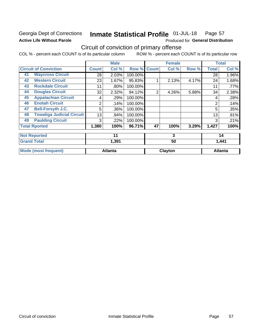## Georgia Dept of Corrections **Active Life Without Parole**

#### Inmate Statistical Profile 01-JUL-18 Page 57

Produced for General Distribution

## Circuit of conviction of primary offense

COL % - percent each COUNT is of its particular column ROW % - percent each COUNT is of its particular row

|    |                                  |              | <b>Male</b>    |         |              | <b>Female</b> |       |                | <b>Total</b>   |
|----|----------------------------------|--------------|----------------|---------|--------------|---------------|-------|----------------|----------------|
|    | <b>Circuit of Conviction</b>     | <b>Count</b> | Col %          | Row %   | <b>Count</b> | Col %         | Row % | <b>Total</b>   | Col %          |
| 41 | <b>Waycross Circuit</b>          | 28           | 2.03%          | 100.00% |              |               |       | 28             | 1.96%          |
| 42 | <b>Western Circuit</b>           | 23           | 1.67%          | 95.83%  |              | 2.13%         | 4.17% | 24             | 1.68%          |
| 43 | <b>Rockdale Circuit</b>          | 11           | .80%           | 100.00% |              |               |       | 11             | .77%           |
| 44 | <b>Douglas Circuit</b>           | 32           | 2.32%          | 94.12%  | 2            | 4.26%         | 5.88% | 34             | 2.38%          |
| 45 | <b>Appalachian Circuit</b>       | 4            | .29%           | 100.00% |              |               |       | 4              | .28%           |
| 46 | <b>Enotah Circuit</b>            | 2            | .14%           | 100.00% |              |               |       | $\overline{2}$ | .14%           |
| 47 | <b>Bell-Forsyth J.C.</b>         | 5            | .36%           | 100.00% |              |               |       | 5              | .35%           |
| 48 | <b>Towaliga Judicial Circuit</b> | 13           | .94%           | 100.00% |              |               |       | 13             | .91%           |
| 49 | <b>Paulding Circuit</b>          | 3            | .22%           | 100.00% |              |               |       | 3              | .21%           |
|    | <b>Total Rported</b>             | 1,380        | 100%           | 96.71%  | 47           | 100%          | 3.29% | 1,427          | 100%           |
|    | <b>Not Reported</b>              |              | 11             |         |              | 3             |       |                | 14             |
|    | <b>Grand Total</b>               |              | 1,391          |         |              | 50            |       |                | 1,441          |
|    | <b>Mode (most frequent)</b>      |              | <b>Atlanta</b> |         |              | Clayton       |       |                | <b>Atlanta</b> |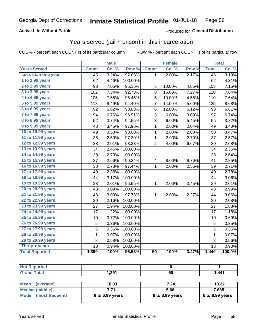## **Active Life Without Parole**

## Produced for General Distribution

## Years served (jail + prison) in this incarceration

COL % - percent each COUNT is of its particular column

|                        | <b>Male</b>  |       | <b>Female</b> |                 |        | <b>Total</b> |                 |        |
|------------------------|--------------|-------|---------------|-----------------|--------|--------------|-----------------|--------|
| <b>Years Served</b>    | <b>Count</b> | Col % | Row %         | <b>Count</b>    | Col %  | Row %        | <b>Total</b>    | Col %  |
| Less than one year     | 45           | 3.24% | 97.83%        | 1               | 2.00%  | 2.17%        | $\overline{46}$ | 3.19%  |
| 1 to 1.99 years        | 62           | 4.46% | 100.00%       |                 |        |              | 62              | 4.31%  |
| 2 to 2.99 years        | 98           | 7.05% | 95.15%        | 5               | 10.00% | 4.85%        | 103             | 7.15%  |
| 3 to 3.99 years        | 102          | 7.34% | 92.73%        | 8               | 16.00% | 7.27%        | 110             | 7.64%  |
| 4 to 4.99 years        | 105          | 7.55% | 95.45%        | 5               | 10.00% | 4.55%        | 110             | 7.64%  |
| 5 to 5.99 years        | 118          | 8.49% | 94.40%        | 7               | 14.00% | 5.60%        | 125             | 8.68%  |
| 6 to 6.99 years        | 92           | 6.62% | 93.88%        | $\,6$           | 12.00% | 6.12%        | 98              | 6.81%  |
| 7 to 7.99 years        | 94           | 6.76% | 96.91%        | 3               | 6.00%  | 3.09%        | 97              | 6.74%  |
| <b>8 to 8.99 years</b> | 52           | 3.74% | 94.55%        | 3               | 6.00%  | 5.45%        | 55              | 3.82%  |
| 9 to 9.99 years        | 48           | 3.45% | 97.96%        | $\mathbf{1}$    | 2.00%  | 2.04%        | 49              | 3.40%  |
| 10 to 10.99 years      | 49           | 3.53% | 98.00%        | $\mathbf 1$     | 2.00%  | 2.00%        | 50              | 3.47%  |
| 11 to 11.99 years      | 36           | 2.59% | 97.30%        | $\mathbf 1$     | 2.00%  | 2.70%        | 37              | 2.57%  |
| 12 to 12.99 years      | 28           | 2.01% | 93.33%        | $\overline{2}$  | 4.00%  | 6.67%        | 30              | 2.08%  |
| 13 to 13.99 years      | 34           | 2.45% | 100.00%       |                 |        |              | 34              | 2.36%  |
| 14 to 14.99 years      | 38           | 2.73% | 100.00%       |                 |        |              | 38              | 2.64%  |
| 15 to 15.99 years      | 37           | 2.66% | 90.24%        | 4               | 8.00%  | 9.76%        | 41              | 2.85%  |
| 16 to 16.99 years      | 38           | 2.73% | 97.44%        | 1               | 2.00%  | 2.56%        | 39              | 2.71%  |
| 17 to 17.99 years      | 40           | 2.88% | 100.00%       |                 |        |              | 40              | 2.78%  |
| 18 to 18.99 years      | 44           | 3.17% | 100.00%       |                 |        |              | 44              | 3.06%  |
| 19 to 19.99 years      | 28           | 2.01% | 96.55%        | 1               | 2.00%  | 3.45%        | 29              | 2.01%  |
| 20 to 20.99 years      | 43           | 3.09% | 100.00%       |                 |        |              | 43              | 2.99%  |
| 21 to 21.99 years      | 43           | 3.09% | 97.73%        | 1               | 2.00%  | 2.27%        | 44              | 3.06%  |
| 22 to 22.99 years      | 30           | 2.16% | 100.00%       |                 |        |              | 30              | 2.08%  |
| 23 to 23.99 years      | 27           | 1.94% | 100.00%       |                 |        |              | 27              | 1.88%  |
| 24 to 24.99 years      | 17           | 1.22% | 100.00%       |                 |        |              | 17              | 1.18%  |
| 25 to 25.99 years      | 10           | 0.72% | 100.00%       |                 |        |              | 10              | 0.69%  |
| 26 to 26.99 years      | 5            | 0.36% | 100.00%       |                 |        |              | 5               | 0.35%  |
| 27 to 27.99 years      | 5            | 0.36% | 100.00%       |                 |        |              | 5               | 0.35%  |
| 28 to 28.99 years      | $\mathbf 1$  | 0.07% | 100.00%       |                 |        |              | $\mathbf{1}$    | 0.07%  |
| 29 to 29.99 years      | 8            | 0.58% | 100.00%       |                 |        |              | 8               | 0.56%  |
| Thirty + years         | 13           | 0.94% | 100.00%       |                 |        |              | 13              | 0.90%  |
| <b>Total Reported</b>  | 1,390        | 100%  | 96.53%        | $\overline{50}$ | 100%   | 3.47%        | 1,440           | 100.0% |

| 1,391           | 50              | 1,441           |
|-----------------|-----------------|-----------------|
|                 |                 |                 |
| 10.33           | 7.24            | 10.22           |
| 7.71            | 5.66            | 7.635           |
| 6 to 6.99 years | 8 to 8.99 years | 6 to 6.99 years |
|                 |                 |                 |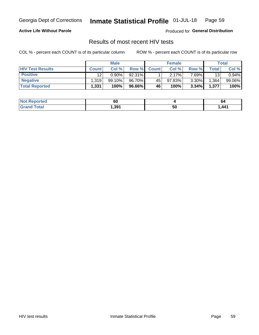#### Inmate Statistical Profile 01-JUL-18 Page 59

### **Active Life Without Parole**

Produced for General Distribution

## Results of most recent HIV tests

COL % - percent each COUNT is of its particular column

|                         | <b>Male</b>  |           |        | <b>Female</b> |        |          | Total |        |
|-------------------------|--------------|-----------|--------|---------------|--------|----------|-------|--------|
| <b>HIV Test Results</b> | <b>Count</b> | Col %     | Row %I | <b>Count</b>  | Col %  | Row %    | Total | Col %  |
| <b>Positive</b>         | 12           | $0.90\%$  | 92.31% |               | 2.17%  | 7 69%∎   | 13    | 0.94%  |
| <b>Negative</b>         | .319         | $99.10\%$ | 96.70% | 45            | 97.83% | $3.30\%$ | .364  | 99.06% |
| <b>Total Reported</b>   | 1,331        | 100%      | 96.66% | <b>46</b>     | 100%   | 3.34%    | 1,377 | 100%   |

| <b>Not Reported</b>         | 60    |    | οc   |
|-----------------------------|-------|----|------|
| <b>Fotal</b><br><b>Grot</b> | 391.، | 50 | ,441 |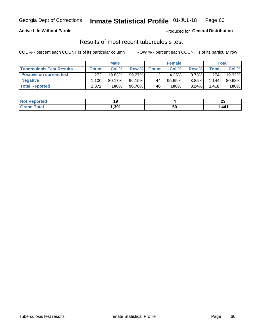## Georgia Dept of Corrections **Inmate Statistical Profile** 01-JUL-18 Page 60

### **Active Life Without Parole**

Produced for **General Distribution**

## Results of most recent tuberculosis test

COL % - percent each COUNT is of its particular column ROW % - percent each COUNT is of its particular row

|                                  | <b>Male</b>  |        |           | <b>Female</b> |           |          | Total          |        |
|----------------------------------|--------------|--------|-----------|---------------|-----------|----------|----------------|--------|
| <b>Tuberculosis Test Results</b> | <b>Count</b> | Col%   | Row %I    | <b>Count</b>  | Col %     | Row %    | <b>Total</b> I | Col %  |
| <b>Positive on current test</b>  | 272          | 19.83% | $99.27\%$ |               | 4.35%     | 0.73%    | 274            | 19.32% |
| <b>Negative</b>                  | .100         | 80.17% | 96.15%    | 44            | $95.65\%$ | 3.85%    | 1,144          | 80.68% |
| <b>Total Reported</b>            | 1,372        | 100%   | 96.76% I  | 46            | 100%      | $3.24\%$ | 1.418          | 100%   |

| <b>Not Reported</b>   |       |    | e.<br>~                           |
|-----------------------|-------|----|-----------------------------------|
| <b>Total</b><br>.Gret | 1,391 | ას | $\mathbf{A}\mathbf{A}$ 1<br>,,,,, |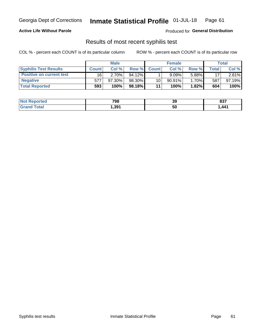## Georgia Dept of Corrections **Inmate Statistical Profile** 01-JUL-18 Page 61

### **Active Life Without Parole**

Produced for **General Distribution**

## Results of most recent syphilis test

COL % - percent each COUNT is of its particular column ROW % - percent each COUNT is of its particular row

|                                 | <b>Male</b>  |           |           | <b>Female</b> |           |        | Total |        |
|---------------------------------|--------------|-----------|-----------|---------------|-----------|--------|-------|--------|
| <b>Syphilis Test Results</b>    | <b>Count</b> | Col%      | Row %     | <b>Count</b>  | Col %     | Row %I | Total | Col %  |
| <b>Positive on current test</b> | 16           | $2.70\%$  | $94.12\%$ |               | 9.09%     | 5.88%  | 17    | 2.81%  |
| <b>Negative</b>                 | 577          | $97.30\%$ | 98.30%    | 10            | $90.91\%$ | 1.70%  | 587   | 97.19% |
| <b>Total Reported</b>           | 593          | 100%      | 98.18%    | 11            | 100%      | 1.82%  | 604   | 100%   |

| <b>Not Reported</b> | 798   | 39 | 837  |
|---------------------|-------|----|------|
| <b>Grand Total</b>  | 391,ا | 50 | ,441 |